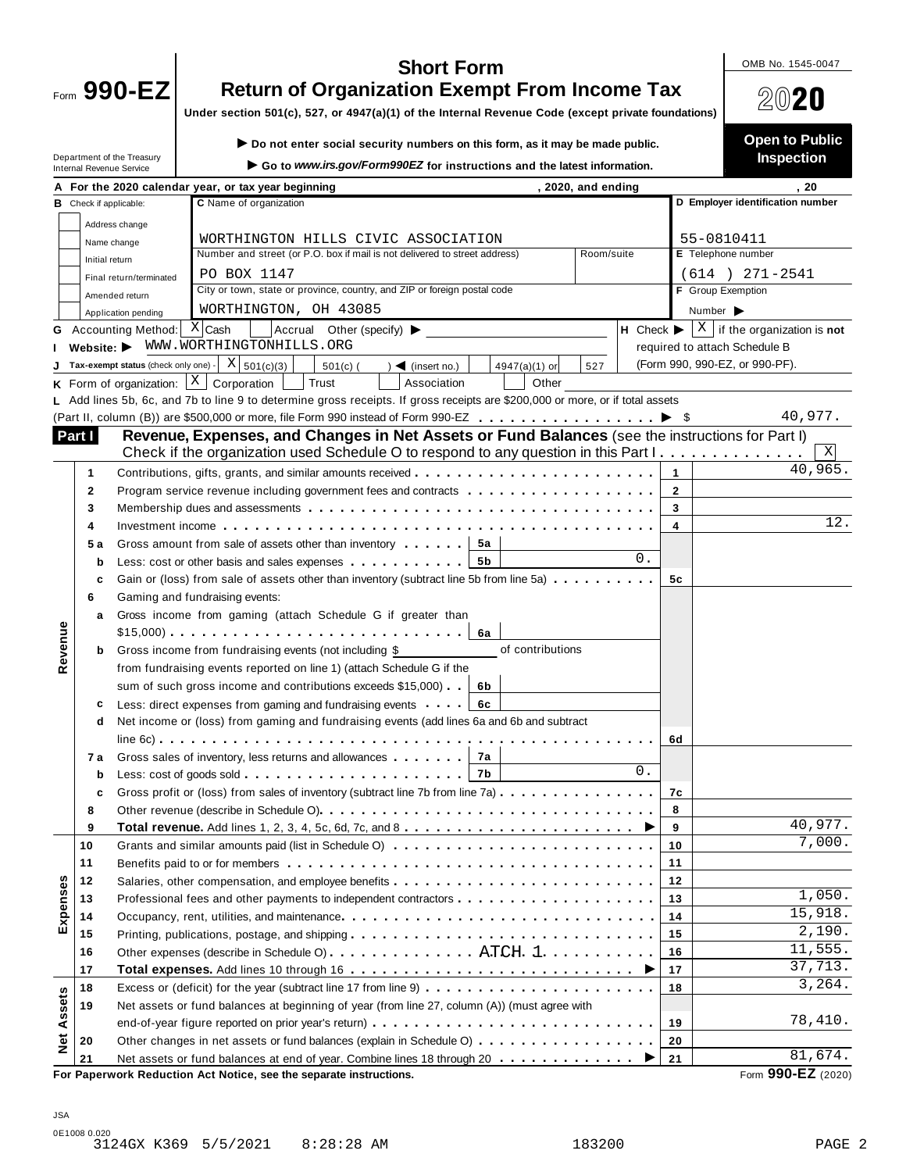# OMB No. 1545-0047 **Short Form**

| <b>Return of Organization Exempt From Income Tax</b>                                               | 2020 |
|----------------------------------------------------------------------------------------------------|------|
| Under section 501(c), 527, or 4947(a)(1) of the Internal Revenue Code (except private foundations) |      |

**Do not enter social security numbers on this form, as it may be made public. Open to Public**

|                   |                | Department of the Treasury<br>Internal Revenue Service                                        | Do not enter social security numbers on this form, as it may be made public.<br>Go to www.irs.gov/Form990EZ for instructions and the latest information. |                   |              | <b>Open to Public</b><br>Inspection                                             |  |  |  |  |
|-------------------|----------------|-----------------------------------------------------------------------------------------------|----------------------------------------------------------------------------------------------------------------------------------------------------------|-------------------|--------------|---------------------------------------------------------------------------------|--|--|--|--|
|                   |                |                                                                                               | A For the 2020 calendar year, or tax year beginning                                                                                                      | ,2020, and ending |              | . 20                                                                            |  |  |  |  |
|                   |                | <b>B</b> Check if applicable:                                                                 | C Name of organization                                                                                                                                   |                   |              | D Employer identification number                                                |  |  |  |  |
|                   |                | Address change                                                                                |                                                                                                                                                          |                   |              |                                                                                 |  |  |  |  |
|                   |                | Name change                                                                                   | WORTHINGTON HILLS CIVIC ASSOCIATION                                                                                                                      |                   |              | 55-0810411                                                                      |  |  |  |  |
|                   | Initial return |                                                                                               | Number and street (or P.O. box if mail is not delivered to street address)                                                                               | Room/suite        |              | E Telephone number                                                              |  |  |  |  |
|                   |                | Final return/terminated                                                                       | PO BOX 1147                                                                                                                                              |                   |              | $(614) 271 - 2541$                                                              |  |  |  |  |
|                   |                | Amended return                                                                                | City or town, state or province, country, and ZIP or foreign postal code                                                                                 |                   |              | F Group Exemption                                                               |  |  |  |  |
|                   |                | Application pending                                                                           | WORTHINGTON, OH 43085                                                                                                                                    |                   |              | Number $\blacktriangleright$                                                    |  |  |  |  |
| G                 |                | Accounting Method:   X Cash                                                                   | Accrual Other (specify)                                                                                                                                  |                   |              | <b>H</b> Check $\blacktriangleright$ $\mid$ X $\mid$ if the organization is not |  |  |  |  |
|                   |                |                                                                                               | Website: WWW.WORTHINGTONHILLS.ORG                                                                                                                        |                   |              | required to attach Schedule B                                                   |  |  |  |  |
|                   |                |                                                                                               | Tax-exempt status (check only one) - $\mid X \mid 501(c)(3)$<br>$501(c)$ (<br>$)$ (insert no.)<br>4947(a)(1) or                                          | 527               |              | (Form 990, 990-EZ, or 990-PF).                                                  |  |  |  |  |
|                   |                |                                                                                               | <b>K</b> Form of organization: $\lfloor X \rfloor$ Corporation<br>Trust<br>Association<br>Other                                                          |                   |              |                                                                                 |  |  |  |  |
|                   |                |                                                                                               | L Add lines 5b, 6c, and 7b to line 9 to determine gross receipts. If gross receipts are \$200,000 or more, or if total assets                            |                   |              |                                                                                 |  |  |  |  |
|                   |                |                                                                                               | (Part II, column (B)) are \$500,000 or more, file Form 990 instead of Form 990-EZ ▶ \$                                                                   |                   |              | 40,977.                                                                         |  |  |  |  |
| Part I            |                |                                                                                               | Revenue, Expenses, and Changes in Net Assets or Fund Balances (see the instructions for Part I)                                                          |                   |              |                                                                                 |  |  |  |  |
|                   |                |                                                                                               | Check if the organization used Schedule O to respond to any question in this Part $1, \ldots, \ldots, \ldots, \ldots$                                    |                   |              | $\mathbf{x}$                                                                    |  |  |  |  |
|                   | 1              |                                                                                               | Contributions, gifts, grants, and similar amounts received                                                                                               |                   | $\mathbf{1}$ | 40,965.                                                                         |  |  |  |  |
|                   | 2              |                                                                                               |                                                                                                                                                          |                   | $\mathbf{2}$ |                                                                                 |  |  |  |  |
|                   | 3              |                                                                                               |                                                                                                                                                          |                   | 3            |                                                                                 |  |  |  |  |
|                   | 4              |                                                                                               |                                                                                                                                                          |                   | 4            | 12.                                                                             |  |  |  |  |
|                   |                |                                                                                               | Gross amount from sale of assets other than inventory <b>EXECUTE:</b>   5a                                                                               |                   |              |                                                                                 |  |  |  |  |
|                   | 5 a            |                                                                                               |                                                                                                                                                          | 0.                |              |                                                                                 |  |  |  |  |
|                   | b              |                                                                                               | Less: cost or other basis and sales expenses 5b<br>Gain or (loss) from sale of assets other than inventory (subtract line 5b from line 5a)<br>5c         |                   |              |                                                                                 |  |  |  |  |
|                   | c              |                                                                                               |                                                                                                                                                          |                   |              |                                                                                 |  |  |  |  |
|                   | 6              | Gaming and fundraising events:<br>Gross income from gaming (attach Schedule G if greater than |                                                                                                                                                          |                   |              |                                                                                 |  |  |  |  |
|                   | а              |                                                                                               |                                                                                                                                                          |                   |              |                                                                                 |  |  |  |  |
|                   |                |                                                                                               | of contributions                                                                                                                                         |                   |              |                                                                                 |  |  |  |  |
| Revenue           | b              |                                                                                               | Gross income from fundraising events (not including \$                                                                                                   |                   |              |                                                                                 |  |  |  |  |
|                   |                |                                                                                               | from fundraising events reported on line 1) (attach Schedule G if the                                                                                    |                   |              |                                                                                 |  |  |  |  |
|                   |                |                                                                                               | sum of such gross income and contributions exceeds $$15,000$ . $[6b]$                                                                                    |                   |              |                                                                                 |  |  |  |  |
|                   | c              |                                                                                               | Less: direct expenses from gaming and fundraising events <b>6c</b>                                                                                       |                   |              |                                                                                 |  |  |  |  |
|                   | d              |                                                                                               | Net income or (loss) from gaming and fundraising events (add lines 6a and 6b and subtract                                                                |                   |              |                                                                                 |  |  |  |  |
|                   |                |                                                                                               |                                                                                                                                                          |                   | 6d           |                                                                                 |  |  |  |  |
|                   | 7 a            |                                                                                               | Gross sales of inventory, less returns and allowances <b>Fig. 1.1.</b> 7a                                                                                | 0.                |              |                                                                                 |  |  |  |  |
|                   | b              |                                                                                               | 7b                                                                                                                                                       |                   |              |                                                                                 |  |  |  |  |
|                   | c              |                                                                                               | Gross profit or (loss) from sales of inventory (subtract line 7b from line 7a)                                                                           |                   | 7c           |                                                                                 |  |  |  |  |
|                   | 8              |                                                                                               |                                                                                                                                                          |                   | 8            | 40,977.                                                                         |  |  |  |  |
|                   | 9              |                                                                                               | Total revenue. Add lines 1, 2, 3, 4, 5c, 6d, 7c, and 8 $\dots \dots \dots \dots \dots \dots \dots \dots$                                                 |                   | 9            | 7,000.                                                                          |  |  |  |  |
| 10                |                |                                                                                               |                                                                                                                                                          |                   | 10           |                                                                                 |  |  |  |  |
| 11                |                |                                                                                               |                                                                                                                                                          |                   | 11           |                                                                                 |  |  |  |  |
| 12                |                |                                                                                               |                                                                                                                                                          |                   | 12           | 1,050.                                                                          |  |  |  |  |
| 13                |                |                                                                                               |                                                                                                                                                          |                   | 13<br>14     | 15,918.                                                                         |  |  |  |  |
| Expenses<br>14    |                |                                                                                               | 2,190.                                                                                                                                                   |                   |              |                                                                                 |  |  |  |  |
| 15                |                |                                                                                               |                                                                                                                                                          |                   | 15           | 11,555.                                                                         |  |  |  |  |
| 16                |                |                                                                                               | Other expenses (describe in Schedule O) ATCH. 1.                                                                                                         |                   | 16           |                                                                                 |  |  |  |  |
| 17                |                |                                                                                               |                                                                                                                                                          |                   | 17           | 37,713.                                                                         |  |  |  |  |
| 18                |                |                                                                                               | Excess or (deficit) for the year (subtract line 17 from line 9)                                                                                          |                   | 18           | 3,264.                                                                          |  |  |  |  |
| 19                |                |                                                                                               | Net assets or fund balances at beginning of year (from line 27, column (A)) (must agree with                                                             |                   |              | 78,410.                                                                         |  |  |  |  |
| <b>Net Assets</b> | 19             |                                                                                               |                                                                                                                                                          |                   |              |                                                                                 |  |  |  |  |
| 20                |                |                                                                                               | Other changes in net assets or fund balances (explain in Schedule O)                                                                                     |                   | 20           |                                                                                 |  |  |  |  |
| 21                |                |                                                                                               | Net assets or fund balances at end of year. Combine lines 18 through 20 <b>.</b> ▶                                                                       |                   | 21           | 81,674.<br>000E7                                                                |  |  |  |  |

**For Paperwork Reduction Act Notice, see the separate instructions.** Form 990-EZ (2020)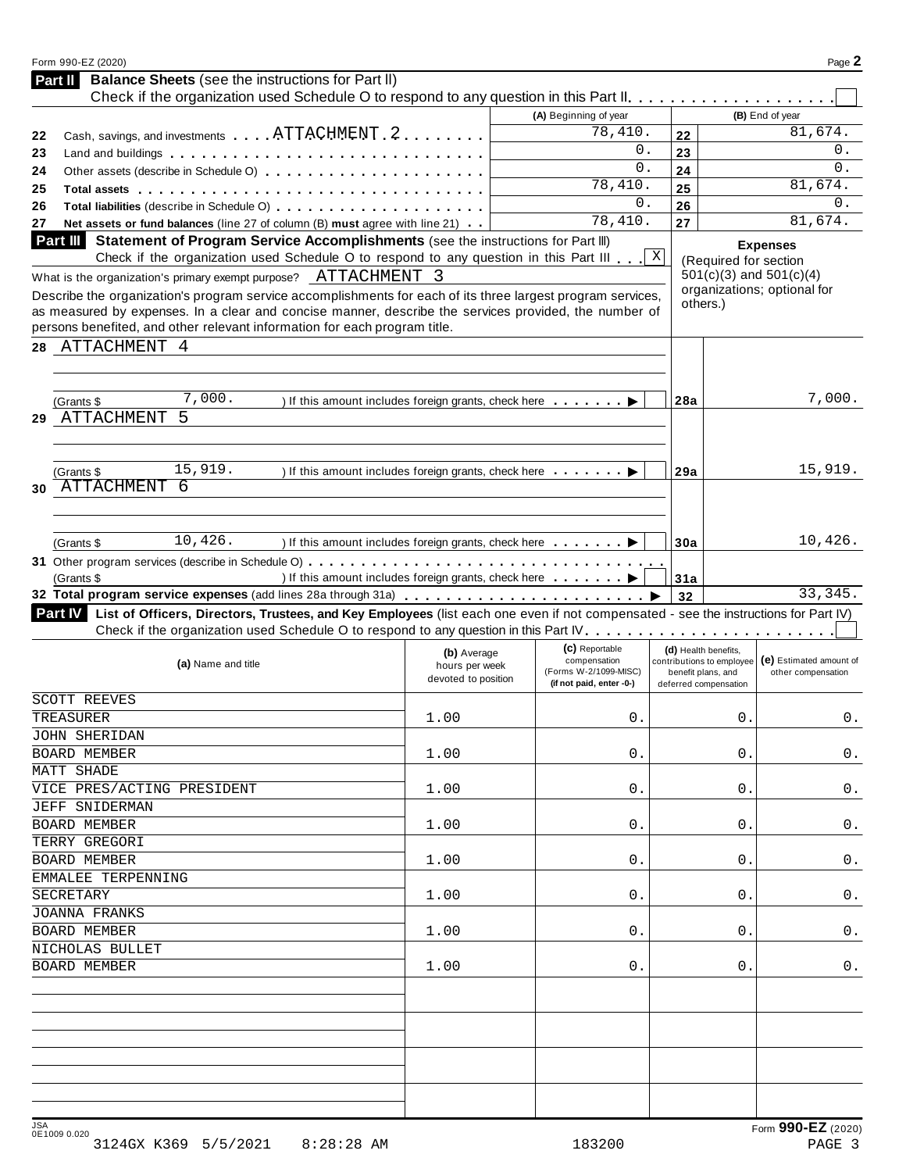| Form 990-EZ (2020)                                                                                                                                                                                                                                                                                                                                                                                                                                                              |                                                                                        |                                                         |                                            | Page 2                                                                                                 |
|---------------------------------------------------------------------------------------------------------------------------------------------------------------------------------------------------------------------------------------------------------------------------------------------------------------------------------------------------------------------------------------------------------------------------------------------------------------------------------|----------------------------------------------------------------------------------------|---------------------------------------------------------|--------------------------------------------|--------------------------------------------------------------------------------------------------------|
| Part II Balance Sheets (see the instructions for Part II)                                                                                                                                                                                                                                                                                                                                                                                                                       |                                                                                        |                                                         |                                            |                                                                                                        |
|                                                                                                                                                                                                                                                                                                                                                                                                                                                                                 |                                                                                        |                                                         |                                            |                                                                                                        |
|                                                                                                                                                                                                                                                                                                                                                                                                                                                                                 |                                                                                        | (A) Beginning of year                                   |                                            | (B) End of year                                                                                        |
| Cash, savings, and investments <b>ATTACHMENT</b> 2<br>22                                                                                                                                                                                                                                                                                                                                                                                                                        |                                                                                        | 78,410.                                                 | 22                                         | 81,674                                                                                                 |
| 23                                                                                                                                                                                                                                                                                                                                                                                                                                                                              |                                                                                        | 0.<br>$0$ .                                             | 23                                         | 0.<br>0.                                                                                               |
| 24                                                                                                                                                                                                                                                                                                                                                                                                                                                                              |                                                                                        | 78,410.                                                 | 24                                         | 81,674.                                                                                                |
| 25<br>Total assets <b>and assets and assets and assets and assets and assets and assets and assets a</b>                                                                                                                                                                                                                                                                                                                                                                        |                                                                                        | $0$ .                                                   | 25                                         | 0.                                                                                                     |
| 26                                                                                                                                                                                                                                                                                                                                                                                                                                                                              |                                                                                        | 78,410.                                                 | 26                                         | 81,674.                                                                                                |
| Net assets or fund balances (line 27 of column (B) must agree with line 21)<br>27<br>Part III<br>Statement of Program Service Accomplishments (see the instructions for Part III)                                                                                                                                                                                                                                                                                               |                                                                                        |                                                         | 27                                         |                                                                                                        |
| Check if the organization used Schedule O to respond to any question in this Part III $\vert x \vert$<br>What is the organization's primary exempt purpose? _ ATTACHMENT 3<br>Describe the organization's program service accomplishments for each of its three largest program services,<br>as measured by expenses. In a clear and concise manner, describe the services provided, the number of<br>persons benefited, and other relevant information for each program title. |                                                                                        |                                                         | others.)                                   | <b>Expenses</b><br>(Required for section<br>$501(c)(3)$ and $501(c)(4)$<br>organizations; optional for |
| 28 ATTACHMENT 4                                                                                                                                                                                                                                                                                                                                                                                                                                                                 |                                                                                        |                                                         |                                            |                                                                                                        |
|                                                                                                                                                                                                                                                                                                                                                                                                                                                                                 |                                                                                        |                                                         |                                            |                                                                                                        |
|                                                                                                                                                                                                                                                                                                                                                                                                                                                                                 |                                                                                        |                                                         |                                            |                                                                                                        |
| 7,000.<br>(Grants \$                                                                                                                                                                                                                                                                                                                                                                                                                                                            | ) If this amount includes foreign grants, check here ▶                                 |                                                         | 28a                                        | 7,000.                                                                                                 |
| ATTACHMENT<br>5<br>29                                                                                                                                                                                                                                                                                                                                                                                                                                                           |                                                                                        |                                                         |                                            |                                                                                                        |
|                                                                                                                                                                                                                                                                                                                                                                                                                                                                                 |                                                                                        |                                                         |                                            |                                                                                                        |
| 15,919.<br>(Grants \$                                                                                                                                                                                                                                                                                                                                                                                                                                                           | If this amount includes foreign grants, check here $\qquad \qquad \blacktriangleright$ |                                                         | 29a                                        | 15,919.                                                                                                |
| ATTACHMENT 6<br>30                                                                                                                                                                                                                                                                                                                                                                                                                                                              |                                                                                        |                                                         |                                            |                                                                                                        |
|                                                                                                                                                                                                                                                                                                                                                                                                                                                                                 |                                                                                        |                                                         |                                            |                                                                                                        |
|                                                                                                                                                                                                                                                                                                                                                                                                                                                                                 |                                                                                        |                                                         |                                            |                                                                                                        |
| 10,426.<br>(Grants \$                                                                                                                                                                                                                                                                                                                                                                                                                                                           | ) If this amount includes foreign grants, check here <b>interestingly</b>              |                                                         | 30a                                        | 10,426.                                                                                                |
|                                                                                                                                                                                                                                                                                                                                                                                                                                                                                 |                                                                                        |                                                         |                                            |                                                                                                        |
| (Grants \$                                                                                                                                                                                                                                                                                                                                                                                                                                                                      | ) If this amount includes foreign grants, check here <b>Fig. 1</b>                     |                                                         | 31a                                        |                                                                                                        |
|                                                                                                                                                                                                                                                                                                                                                                                                                                                                                 |                                                                                        |                                                         | 32                                         | 33, 345.                                                                                               |
| List of Officers, Directors, Trustees, and Key Employees (list each one even if not compensated - see the instructions for Part IV)<br><b>Part IV</b>                                                                                                                                                                                                                                                                                                                           |                                                                                        |                                                         |                                            |                                                                                                        |
|                                                                                                                                                                                                                                                                                                                                                                                                                                                                                 |                                                                                        |                                                         |                                            |                                                                                                        |
| (a) Name and title                                                                                                                                                                                                                                                                                                                                                                                                                                                              | (b) Average<br>hours per week<br>devoted to position                                   | (C) Reportable<br>compensation<br>(Forms W-2/1099-MISC) | (d) Health benefits,<br>benefit plans, and | contributions to employee   (e) Estimated amount of<br>other compensation                              |
| SCOTT REEVES                                                                                                                                                                                                                                                                                                                                                                                                                                                                    |                                                                                        | (if not paid, enter -0-)                                | deferred compensation                      |                                                                                                        |
| TREASURER                                                                                                                                                                                                                                                                                                                                                                                                                                                                       | 1.00                                                                                   | $\mathsf{0}$ .                                          |                                            | $\mathsf 0$ .<br>$\mathtt{0}$ .                                                                        |
| <b>JOHN SHERIDAN</b>                                                                                                                                                                                                                                                                                                                                                                                                                                                            |                                                                                        |                                                         |                                            |                                                                                                        |
| BOARD MEMBER                                                                                                                                                                                                                                                                                                                                                                                                                                                                    | 1.00                                                                                   | 0.                                                      |                                            | 0.<br>$0$ .                                                                                            |
| MATT SHADE                                                                                                                                                                                                                                                                                                                                                                                                                                                                      |                                                                                        |                                                         |                                            |                                                                                                        |
| VICE PRES/ACTING PRESIDENT                                                                                                                                                                                                                                                                                                                                                                                                                                                      | 1.00                                                                                   | 0.                                                      |                                            | 0.<br>$0$ .                                                                                            |
| JEFF SNIDERMAN                                                                                                                                                                                                                                                                                                                                                                                                                                                                  |                                                                                        |                                                         |                                            |                                                                                                        |
| BOARD MEMBER                                                                                                                                                                                                                                                                                                                                                                                                                                                                    | 1.00                                                                                   | 0.                                                      |                                            | 0.<br>$0$ .                                                                                            |
| TERRY GREGORI                                                                                                                                                                                                                                                                                                                                                                                                                                                                   |                                                                                        |                                                         |                                            |                                                                                                        |
| BOARD MEMBER                                                                                                                                                                                                                                                                                                                                                                                                                                                                    | 1.00                                                                                   | 0.                                                      |                                            | 0.<br>$0$ .                                                                                            |
| EMMALEE TERPENNING                                                                                                                                                                                                                                                                                                                                                                                                                                                              |                                                                                        |                                                         |                                            |                                                                                                        |
| SECRETARY                                                                                                                                                                                                                                                                                                                                                                                                                                                                       | 1.00                                                                                   | 0.                                                      |                                            | 0.<br>$0$ .                                                                                            |
| <b>JOANNA FRANKS</b>                                                                                                                                                                                                                                                                                                                                                                                                                                                            |                                                                                        |                                                         |                                            |                                                                                                        |
| BOARD MEMBER                                                                                                                                                                                                                                                                                                                                                                                                                                                                    | 1.00                                                                                   | 0.                                                      |                                            | 0.<br>0.                                                                                               |
| NICHOLAS BULLET                                                                                                                                                                                                                                                                                                                                                                                                                                                                 |                                                                                        |                                                         |                                            |                                                                                                        |
| BOARD MEMBER                                                                                                                                                                                                                                                                                                                                                                                                                                                                    | 1.00                                                                                   | 0.                                                      |                                            | $0$ .<br>$0$ .                                                                                         |
|                                                                                                                                                                                                                                                                                                                                                                                                                                                                                 |                                                                                        |                                                         |                                            |                                                                                                        |
|                                                                                                                                                                                                                                                                                                                                                                                                                                                                                 |                                                                                        |                                                         |                                            |                                                                                                        |
|                                                                                                                                                                                                                                                                                                                                                                                                                                                                                 |                                                                                        |                                                         |                                            |                                                                                                        |
|                                                                                                                                                                                                                                                                                                                                                                                                                                                                                 |                                                                                        |                                                         |                                            |                                                                                                        |
|                                                                                                                                                                                                                                                                                                                                                                                                                                                                                 |                                                                                        |                                                         |                                            |                                                                                                        |
|                                                                                                                                                                                                                                                                                                                                                                                                                                                                                 |                                                                                        |                                                         |                                            |                                                                                                        |
|                                                                                                                                                                                                                                                                                                                                                                                                                                                                                 |                                                                                        |                                                         |                                            |                                                                                                        |
|                                                                                                                                                                                                                                                                                                                                                                                                                                                                                 |                                                                                        |                                                         |                                            |                                                                                                        |
|                                                                                                                                                                                                                                                                                                                                                                                                                                                                                 |                                                                                        |                                                         |                                            | Form 990-EZ (2020)                                                                                     |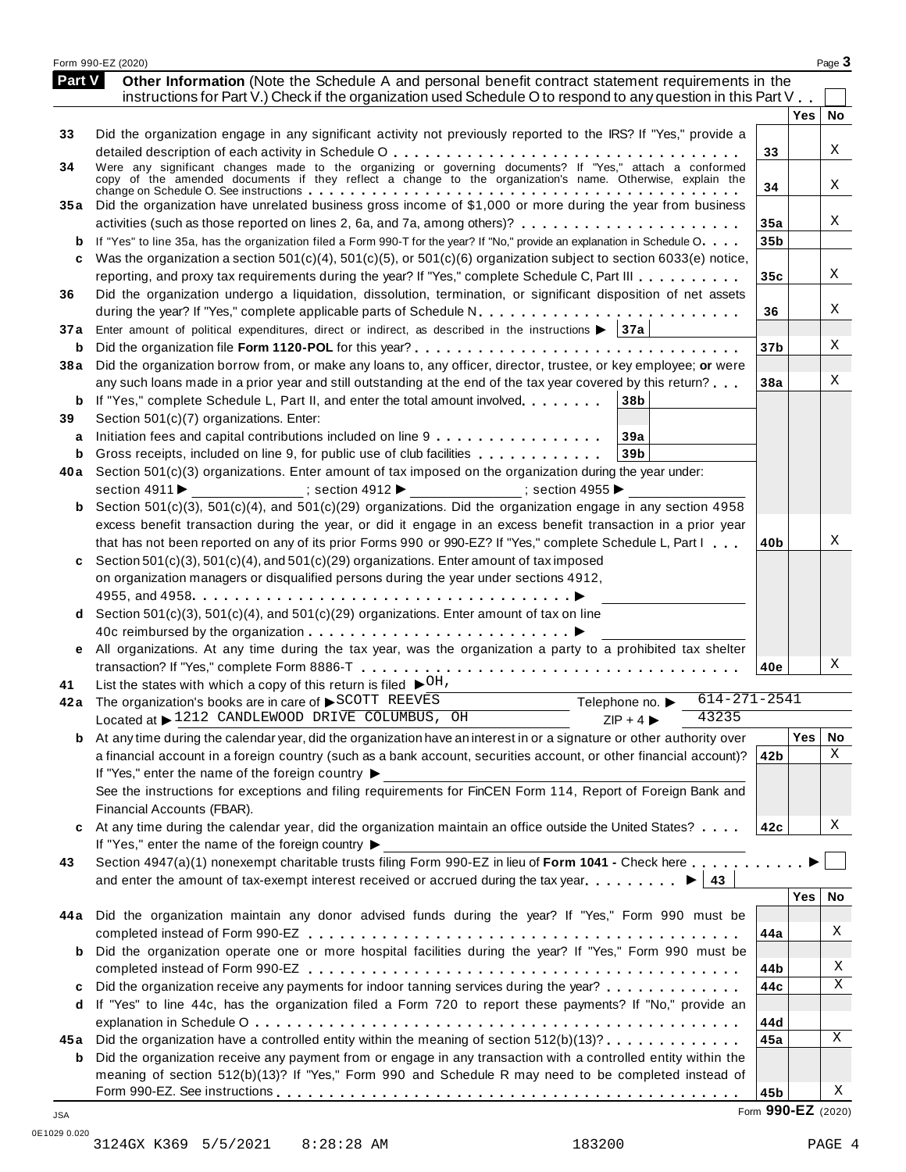|               | Form 990-EZ (2020)                                                                                                                                                                                                   |                 |                  | Page 3  |
|---------------|----------------------------------------------------------------------------------------------------------------------------------------------------------------------------------------------------------------------|-----------------|------------------|---------|
| <b>Part V</b> | Other Information (Note the Schedule A and personal benefit contract statement requirements in the<br>instructions for Part V.) Check if the organization used Schedule O to respond to any question in this Part V. |                 |                  |         |
|               |                                                                                                                                                                                                                      |                 | Yes              | No      |
| 33            | Did the organization engage in any significant activity not previously reported to the IRS? If "Yes," provide a                                                                                                      |                 |                  |         |
|               |                                                                                                                                                                                                                      | 33              |                  | Χ       |
| 34            | Were any significant changes made to the organizing or governing documents? If "Yes," attach a conformed                                                                                                             |                 |                  |         |
|               | copy of the amended documents if they reflect a change to the organization's name. Otherwise, explain the                                                                                                            | 34              |                  | Χ       |
| 35 a          | Did the organization have unrelated business gross income of \$1,000 or more during the year from business                                                                                                           |                 |                  |         |
|               |                                                                                                                                                                                                                      | 35a             |                  | Χ       |
| b             | If "Yes" to line 35a, has the organization filed a Form 990-T for the year? If "No," provide an explanation in Schedule O                                                                                            | 35 <sub>b</sub> |                  |         |
| c             | Was the organization a section $501(c)(4)$ , $501(c)(5)$ , or $501(c)(6)$ organization subject to section 6033(e) notice,                                                                                            |                 |                  |         |
|               | reporting, and proxy tax requirements during the year? If "Yes," complete Schedule C, Part III                                                                                                                       | 35 <sub>c</sub> |                  | Χ       |
| 36            | Did the organization undergo a liquidation, dissolution, termination, or significant disposition of net assets                                                                                                       |                 |                  |         |
|               |                                                                                                                                                                                                                      | 36              |                  | Χ       |
| 37 a          | Enter amount of political expenditures, direct or indirect, as described in the instructions $\blacktriangleright$ 37a                                                                                               |                 |                  |         |
| b             |                                                                                                                                                                                                                      | 37b             |                  | Χ       |
| 38a           | Did the organization borrow from, or make any loans to, any officer, director, trustee, or key employee; or were                                                                                                     |                 |                  |         |
|               | any such loans made in a prior year and still outstanding at the end of the tax year covered by this return?                                                                                                         | 38a             |                  | Χ       |
| b             | If "Yes," complete Schedule L, Part II, and enter the total amount involved.<br>38b                                                                                                                                  |                 |                  |         |
| 39            | Section 501(c)(7) organizations. Enter:                                                                                                                                                                              |                 |                  |         |
| a             | Initiation fees and capital contributions included on line 9<br>39a                                                                                                                                                  |                 |                  |         |
| b             | Gross receipts, included on line 9, for public use of club facilities<br>39 <sub>b</sub>                                                                                                                             |                 |                  |         |
| 40 a          | Section 501(c)(3) organizations. Enter amount of tax imposed on the organization during the year under:                                                                                                              |                 |                  |         |
|               | section 4911 ▶ ______________; section 4912 ▶ _____________; section 4955 ▶                                                                                                                                          |                 |                  |         |
| b             | Section 501(c)(3), 501(c)(4), and 501(c)(29) organizations. Did the organization engage in any section 4958                                                                                                          |                 |                  |         |
|               | excess benefit transaction during the year, or did it engage in an excess benefit transaction in a prior year                                                                                                        |                 |                  |         |
|               | that has not been reported on any of its prior Forms 990 or 990-EZ? If "Yes," complete Schedule L, Part I                                                                                                            | 40b             |                  | Χ       |
| c             | Section 501(c)(3), 501(c)(4), and 501(c)(29) organizations. Enter amount of tax imposed                                                                                                                              |                 |                  |         |
|               | on organization managers or disqualified persons during the year under sections 4912,                                                                                                                                |                 |                  |         |
|               |                                                                                                                                                                                                                      |                 |                  |         |
| d             | Section 501(c)(3), 501(c)(4), and 501(c)(29) organizations. Enter amount of tax on line                                                                                                                              |                 |                  |         |
|               |                                                                                                                                                                                                                      |                 |                  |         |
| е             | All organizations. At any time during the tax year, was the organization a party to a prohibited tax shelter                                                                                                         |                 |                  |         |
|               |                                                                                                                                                                                                                      | 40e             |                  | Χ       |
| 41            | List the states with which a copy of this return is filed $\blacktriangleright^{\text{OH}}$ .<br>$614 - 271 - 2541$                                                                                                  |                 |                  |         |
| 42 a          | The organization's books are in care of SCOTT REEVES<br>Telephone no. ▶<br>43235                                                                                                                                     |                 |                  |         |
|               | Located at 1212 CANDLEWOOD DRIVE COLUMBUS, OH<br>$ZIP + 4$                                                                                                                                                           |                 |                  |         |
| b             | At any time during the calendar year, did the organization have an interest in or a signature or other authority over                                                                                                |                 | Yes <sub>1</sub> | No<br>X |
|               | a financial account in a foreign country (such as a bank account, securities account, or other financial account)?   42b                                                                                             |                 |                  |         |
|               | If "Yes," enter the name of the foreign country ▶                                                                                                                                                                    |                 |                  |         |
|               | See the instructions for exceptions and filing requirements for FinCEN Form 114, Report of Foreign Bank and                                                                                                          |                 |                  |         |
|               | Financial Accounts (FBAR).<br>At any time during the calendar year, did the organization maintain an office outside the United States?                                                                               | 42c             |                  | Χ       |
| c             | If "Yes," enter the name of the foreign country ▶                                                                                                                                                                    |                 |                  |         |
| 43            | Section 4947(a)(1) nonexempt charitable trusts filing Form 990-EZ in lieu of Form 1041 - Check here                                                                                                                  |                 |                  |         |
|               |                                                                                                                                                                                                                      |                 |                  |         |
|               |                                                                                                                                                                                                                      |                 | <b>Yes</b>       | No      |
| 44 a          | Did the organization maintain any donor advised funds during the year? If "Yes," Form 990 must be                                                                                                                    |                 |                  |         |
|               |                                                                                                                                                                                                                      | 44a             |                  | Χ       |
| b             | Did the organization operate one or more hospital facilities during the year? If "Yes," Form 990 must be                                                                                                             |                 |                  |         |
|               |                                                                                                                                                                                                                      | 44b             |                  | Χ       |
| c             | Did the organization receive any payments for indoor tanning services during the year?                                                                                                                               | 44c             |                  | Χ       |
| d             | If "Yes" to line 44c, has the organization filed a Form 720 to report these payments? If "No," provide an                                                                                                            |                 |                  |         |
|               |                                                                                                                                                                                                                      | 44d             |                  |         |
| 45 a          | Did the organization have a controlled entity within the meaning of section 512(b)(13)?                                                                                                                              | 45a             |                  | Χ       |
| b             | Did the organization receive any payment from or engage in any transaction with a controlled entity within the                                                                                                       |                 |                  |         |
|               | meaning of section 512(b)(13)? If "Yes," Form 990 and Schedule R may need to be completed instead of                                                                                                                 |                 |                  |         |
|               |                                                                                                                                                                                                                      | 45b             |                  | Χ       |
|               |                                                                                                                                                                                                                      |                 |                  |         |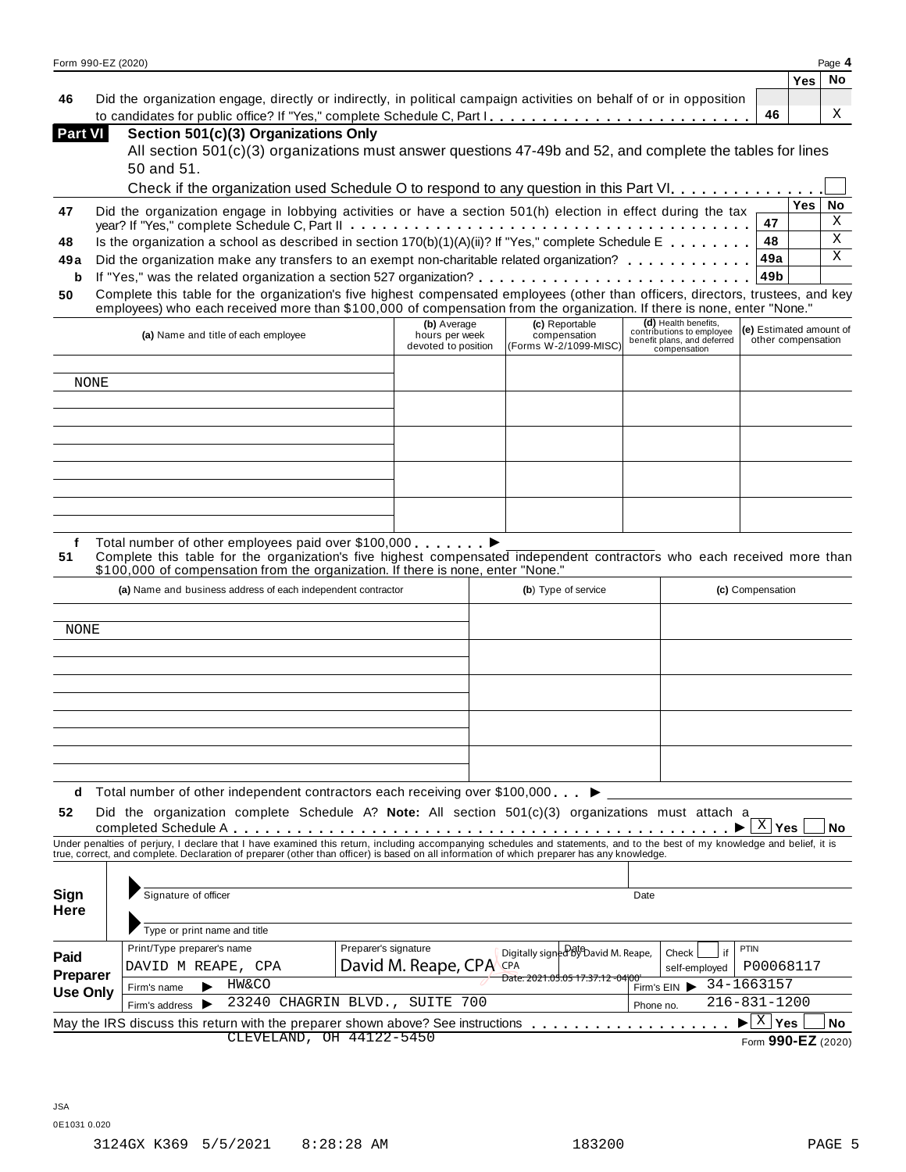|     |                                                                                                                     | Yes l | - No |  |
|-----|---------------------------------------------------------------------------------------------------------------------|-------|------|--|
| -46 | Did the organization engage, directly or indirectly, in political campaign activities on behalf of or in opposition |       |      |  |
|     | to candidates for public office? If "Yes," complete Schedule C, Part I.                                             |       |      |  |
|     |                                                                                                                     |       |      |  |

| <b>Part VI</b> | Section 501(c)(3) Organizations Only                                                                         |
|----------------|--------------------------------------------------------------------------------------------------------------|
|                | All section $501(c)(3)$ organizations must answer questions 47-49b and 52, and complete the tables for lines |
|                | 50 and 51.                                                                                                   |

|    | 50 and 51.                                                                                                 |          |              |
|----|------------------------------------------------------------------------------------------------------------|----------|--------------|
|    |                                                                                                            |          |              |
| 47 |                                                                                                            | Yes   No |              |
|    |                                                                                                            |          | X            |
| 48 | Is the organization a school as described in section $170(b)(1)(A)(ii)$ ? If "Yes," complete Schedule E 48 |          | $\mathbf{X}$ |
|    | 49a Did the organization make any transfers to an exempt non-charitable related organization? 49a          |          | X            |
|    |                                                                                                            |          |              |

**50** Complete this table for the organization's five highest compensated employees (other than officers, directors, trustees, and key employees) who each received more than \$100,000 of compensation from the organization. If there is none, enter "None."

| (a) Name and title of each employee | (b) Average<br>hours per week<br>devoted to position | (c) Reportable<br>compensation<br>(Forms W-2/1099-MISC) | (d) Health benefits,<br>contributions to employee<br>benefit plans, and deferred<br>compensation | (e) Estimated amount of<br>other compensation |
|-------------------------------------|------------------------------------------------------|---------------------------------------------------------|--------------------------------------------------------------------------------------------------|-----------------------------------------------|
|                                     |                                                      |                                                         |                                                                                                  |                                               |
| NONE                                |                                                      |                                                         |                                                                                                  |                                               |
|                                     |                                                      |                                                         |                                                                                                  |                                               |
|                                     |                                                      |                                                         |                                                                                                  |                                               |
|                                     |                                                      |                                                         |                                                                                                  |                                               |
|                                     |                                                      |                                                         |                                                                                                  |                                               |
|                                     |                                                      |                                                         |                                                                                                  |                                               |
|                                     |                                                      |                                                         |                                                                                                  |                                               |
|                                     |                                                      |                                                         |                                                                                                  |                                               |
|                                     |                                                      |                                                         |                                                                                                  |                                               |

f Total number of other employees paid over \$100,000 . . . . . . .  $\blacktriangleright$ 

**51** Complete this table for the organization's five highest compensated independent contractors who each received more than \$100,000 of compensation from the organization. If there is none, enter "None."

| (a) Name and business address of each independent contractor | (b) Type of service | (c) Compensation |
|--------------------------------------------------------------|---------------------|------------------|
|                                                              |                     |                  |
| NONE                                                         |                     |                  |
|                                                              |                     |                  |
|                                                              |                     |                  |
|                                                              |                     |                  |
|                                                              |                     |                  |
|                                                              |                     |                  |
|                                                              |                     |                  |
|                                                              |                     |                  |
|                                                              |                     |                  |

**d** Total number of other independent contractors each receiving over \$100,000 **m b**<br>**52** Did the organization complete Schedule A? **Note:** All section 501(c)(3) organ **52** Did the organization complete Schedule A? **Note:** All section 501(c)(3) organizations must attach a completed Schedule <sup>A</sup> m m m m m m m m m m m m m m m m m m m m m m m m m m m m m m m m m m m m m m m m m m m m m m m I **Yes No** X

Under penalties of perjury, I declare that I have examined this return, including accompanying schedules and statements, and to the best of my knowledge and belief, it is true, correct, and complete. Declaration of preparer (other than officer) is based on all information of which preparer has any knowledge.

|                                                                                                                                                                                                                                                                                                                          | PTIN<br>if<br>Check                                                                   |
|--------------------------------------------------------------------------------------------------------------------------------------------------------------------------------------------------------------------------------------------------------------------------------------------------------------------------|---------------------------------------------------------------------------------------|
| Preparer's signature<br>Print/Type preparer's name<br>Digitally signed By David M. Reape,<br>Paid<br>David M. Reape, CPA CPA<br>DAVID M REAPE, CPA<br>Preparer<br>Date: 2021.05.05 17:37:12 -04 00'<br><b>HM&amp;CO</b><br>Firm's name<br><b>Use Only</b><br>CHAGRIN BLVD.,<br>SUITE 700<br>23240<br>▶<br>Firm's address | P00068117<br>self-employed<br>34-1663157<br>Firm's $EIN$<br>216-831-1200<br>Phone no. |
| May the IRS discuss this return with the preparer shown above? See instructions<br>CLEVELAND, OH 44122-5450                                                                                                                                                                                                              | $X \mid$<br>Yes<br><b>No</b><br>Form 990-EZ (2020)                                    |
| <b>JSA</b><br>0E1031 0.020<br>3124GX K369 5/5/2021<br>$8:28:28$ AM<br>183200                                                                                                                                                                                                                                             | PAGE 5                                                                                |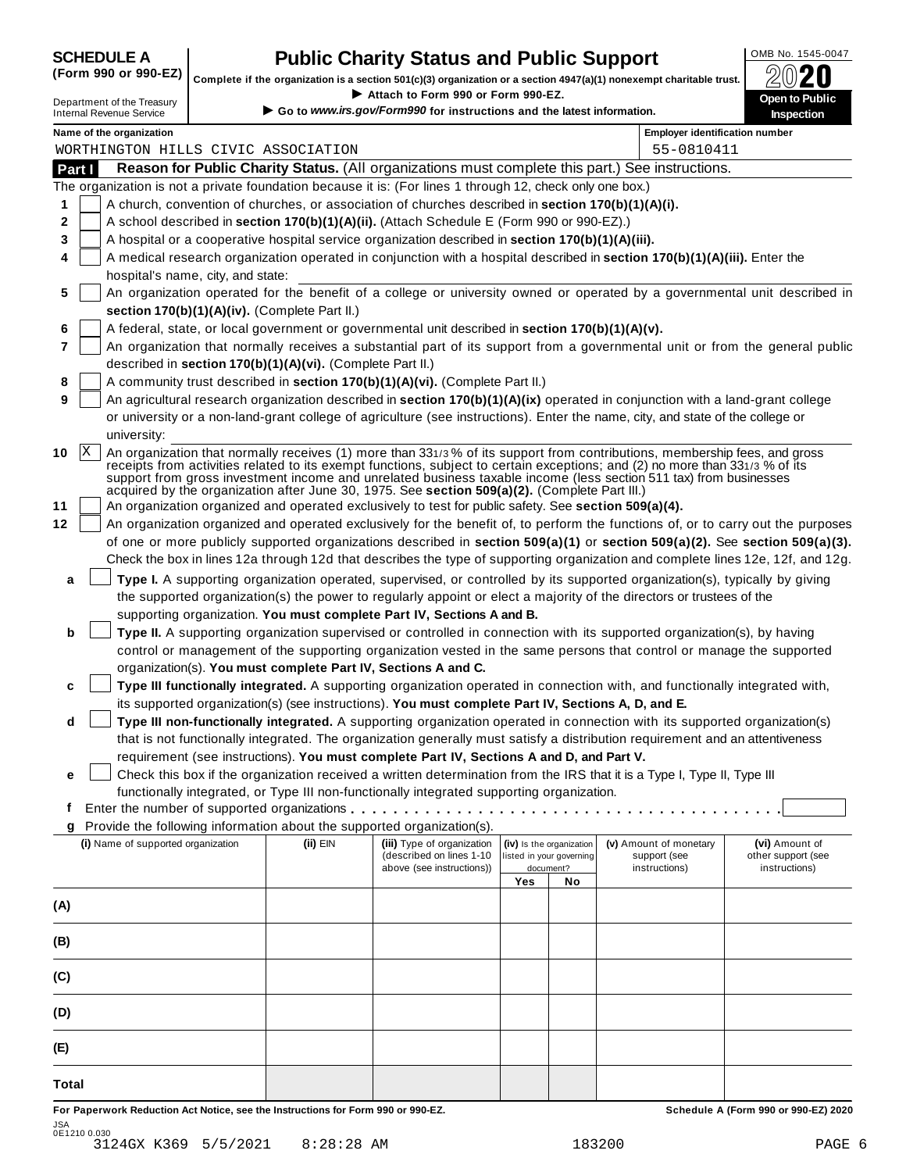SCHEDULE A **Public Charity Status and Public Support**<br>(Form 990 or 990-EZ) complete if the organization is a section 501(c)(3) organization or a section 4947(a)(1) nonexempt charitable trust. (Form 990 or 990-EZ) complete if the organization is a section 501(c)(3) organization or a section 4947(a)(1) nonexempt charitable trust.  $2020$ 

|                                                               |                                                                                                   |                                   |                                                            |                                                                                                              |                          |                          | Complete if the organization is a section 501(c)(3) organization or a section 4947(a)(1) nonexempt charitable trust.                                                                                                                              | ZWŁU                                                                                                                         |
|---------------------------------------------------------------|---------------------------------------------------------------------------------------------------|-----------------------------------|------------------------------------------------------------|--------------------------------------------------------------------------------------------------------------|--------------------------|--------------------------|---------------------------------------------------------------------------------------------------------------------------------------------------------------------------------------------------------------------------------------------------|------------------------------------------------------------------------------------------------------------------------------|
| Department of the Treasury<br><b>Internal Revenue Service</b> |                                                                                                   |                                   |                                                            | Attach to Form 990 or Form 990-EZ.<br>Go to www.irs.gov/Form990 for instructions and the latest information. |                          |                          |                                                                                                                                                                                                                                                   | Open to Public<br><b>Inspection</b>                                                                                          |
| Name of the organization                                      |                                                                                                   |                                   |                                                            |                                                                                                              |                          |                          | Employer identification number                                                                                                                                                                                                                    |                                                                                                                              |
|                                                               |                                                                                                   |                                   | WORTHINGTON HILLS CIVIC ASSOCIATION                        |                                                                                                              |                          |                          | 55-0810411                                                                                                                                                                                                                                        |                                                                                                                              |
| Part I                                                        |                                                                                                   |                                   |                                                            |                                                                                                              |                          |                          | Reason for Public Charity Status. (All organizations must complete this part.) See instructions.                                                                                                                                                  |                                                                                                                              |
|                                                               |                                                                                                   |                                   |                                                            | The organization is not a private foundation because it is: (For lines 1 through 12, check only one box.)    |                          |                          |                                                                                                                                                                                                                                                   |                                                                                                                              |
| 1                                                             |                                                                                                   |                                   |                                                            | A church, convention of churches, or association of churches described in section 170(b)(1)(A)(i).           |                          |                          |                                                                                                                                                                                                                                                   |                                                                                                                              |
| 2                                                             |                                                                                                   |                                   |                                                            | A school described in section 170(b)(1)(A)(ii). (Attach Schedule E (Form 990 or 990-EZ).)                    |                          |                          |                                                                                                                                                                                                                                                   |                                                                                                                              |
| 3                                                             | A hospital or a cooperative hospital service organization described in section 170(b)(1)(A)(iii). |                                   |                                                            |                                                                                                              |                          |                          |                                                                                                                                                                                                                                                   |                                                                                                                              |
| 4                                                             |                                                                                                   | hospital's name, city, and state: |                                                            |                                                                                                              |                          |                          | A medical research organization operated in conjunction with a hospital described in section 170(b)(1)(A)(iii). Enter the                                                                                                                         |                                                                                                                              |
| 5                                                             |                                                                                                   |                                   |                                                            |                                                                                                              |                          |                          |                                                                                                                                                                                                                                                   | An organization operated for the benefit of a college or university owned or operated by a governmental unit described in    |
|                                                               |                                                                                                   |                                   | section 170(b)(1)(A)(iv). (Complete Part II.)              |                                                                                                              |                          |                          |                                                                                                                                                                                                                                                   |                                                                                                                              |
| 6                                                             |                                                                                                   |                                   |                                                            | A federal, state, or local government or governmental unit described in section 170(b)(1)(A)(v).             |                          |                          |                                                                                                                                                                                                                                                   |                                                                                                                              |
| 7                                                             |                                                                                                   |                                   |                                                            |                                                                                                              |                          |                          |                                                                                                                                                                                                                                                   | An organization that normally receives a substantial part of its support from a governmental unit or from the general public |
|                                                               |                                                                                                   |                                   | described in section 170(b)(1)(A)(vi). (Complete Part II.) |                                                                                                              |                          |                          |                                                                                                                                                                                                                                                   |                                                                                                                              |
| 8                                                             |                                                                                                   |                                   |                                                            | A community trust described in section 170(b)(1)(A)(vi). (Complete Part II.)                                 |                          |                          |                                                                                                                                                                                                                                                   |                                                                                                                              |
| 9                                                             |                                                                                                   |                                   |                                                            |                                                                                                              |                          |                          | An agricultural research organization described in section 170(b)(1)(A)(ix) operated in conjunction with a land-grant college                                                                                                                     |                                                                                                                              |
|                                                               |                                                                                                   |                                   |                                                            |                                                                                                              |                          |                          | or university or a non-land-grant college of agriculture (see instructions). Enter the name, city, and state of the college or                                                                                                                    |                                                                                                                              |
|                                                               | university:                                                                                       |                                   |                                                            |                                                                                                              |                          |                          |                                                                                                                                                                                                                                                   |                                                                                                                              |
| X <br>10                                                      |                                                                                                   |                                   |                                                            |                                                                                                              |                          |                          | An organization that normally receives (1) more than 331/3% of its support from contributions, membership fees, and gross                                                                                                                         |                                                                                                                              |
|                                                               |                                                                                                   |                                   |                                                            | acquired by the organization after June 30, 1975. See section 509(a)(2). (Complete Part III.)                |                          |                          | receipts from activities related to its exempt functions, subject to certain exceptions; and (2) no more than 331/3 % of its<br>support from gross investment income and unrelated business taxable income (less section 511 tax) from businesses |                                                                                                                              |
| 11                                                            |                                                                                                   |                                   |                                                            | An organization organized and operated exclusively to test for public safety. See section 509(a)(4).         |                          |                          |                                                                                                                                                                                                                                                   |                                                                                                                              |
| 12                                                            |                                                                                                   |                                   |                                                            |                                                                                                              |                          |                          | An organization organized and operated exclusively for the benefit of, to perform the functions of, or to carry out the purposes                                                                                                                  |                                                                                                                              |
|                                                               |                                                                                                   |                                   |                                                            |                                                                                                              |                          |                          | of one or more publicly supported organizations described in section 509(a)(1) or section 509(a)(2). See section 509(a)(3).                                                                                                                       |                                                                                                                              |
|                                                               |                                                                                                   |                                   |                                                            |                                                                                                              |                          |                          | Check the box in lines 12a through 12d that describes the type of supporting organization and complete lines 12e, 12f, and 12g.                                                                                                                   |                                                                                                                              |
| a                                                             |                                                                                                   |                                   |                                                            |                                                                                                              |                          |                          | Type I. A supporting organization operated, supervised, or controlled by its supported organization(s), typically by giving                                                                                                                       |                                                                                                                              |
|                                                               |                                                                                                   |                                   |                                                            |                                                                                                              |                          |                          | the supported organization(s) the power to regularly appoint or elect a majority of the directors or trustees of the                                                                                                                              |                                                                                                                              |
|                                                               |                                                                                                   |                                   |                                                            | supporting organization. You must complete Part IV, Sections A and B.                                        |                          |                          |                                                                                                                                                                                                                                                   |                                                                                                                              |
| b                                                             |                                                                                                   |                                   |                                                            |                                                                                                              |                          |                          | Type II. A supporting organization supervised or controlled in connection with its supported organization(s), by having                                                                                                                           |                                                                                                                              |
|                                                               |                                                                                                   |                                   |                                                            |                                                                                                              |                          |                          | control or management of the supporting organization vested in the same persons that control or manage the supported                                                                                                                              |                                                                                                                              |
|                                                               |                                                                                                   |                                   |                                                            | organization(s). You must complete Part IV, Sections A and C.                                                |                          |                          |                                                                                                                                                                                                                                                   |                                                                                                                              |
| c                                                             |                                                                                                   |                                   |                                                            |                                                                                                              |                          |                          | Type III functionally integrated. A supporting organization operated in connection with, and functionally integrated with,                                                                                                                        |                                                                                                                              |
|                                                               |                                                                                                   |                                   |                                                            | its supported organization(s) (see instructions). You must complete Part IV, Sections A, D, and E.           |                          |                          |                                                                                                                                                                                                                                                   |                                                                                                                              |
| d                                                             |                                                                                                   |                                   |                                                            |                                                                                                              |                          |                          | Type III non-functionally integrated. A supporting organization operated in connection with its supported organization(s)                                                                                                                         |                                                                                                                              |
|                                                               |                                                                                                   |                                   |                                                            |                                                                                                              |                          |                          | that is not functionally integrated. The organization generally must satisfy a distribution requirement and an attentiveness                                                                                                                      |                                                                                                                              |
|                                                               |                                                                                                   |                                   |                                                            | requirement (see instructions). You must complete Part IV, Sections A and D, and Part V.                     |                          |                          |                                                                                                                                                                                                                                                   |                                                                                                                              |
| е                                                             |                                                                                                   |                                   |                                                            |                                                                                                              |                          |                          | Check this box if the organization received a written determination from the IRS that it is a Type I, Type II, Type III                                                                                                                           |                                                                                                                              |
|                                                               |                                                                                                   |                                   |                                                            | functionally integrated, or Type III non-functionally integrated supporting organization.                    |                          |                          |                                                                                                                                                                                                                                                   |                                                                                                                              |
| f                                                             |                                                                                                   |                                   |                                                            |                                                                                                              |                          |                          |                                                                                                                                                                                                                                                   |                                                                                                                              |
| g                                                             |                                                                                                   |                                   |                                                            | Provide the following information about the supported organization(s).                                       |                          |                          |                                                                                                                                                                                                                                                   |                                                                                                                              |
| (i) Name of supported organization                            |                                                                                                   |                                   | (ii) EIN                                                   | (iii) Type of organization                                                                                   |                          | (iv) Is the organization | (v) Amount of monetary                                                                                                                                                                                                                            | (vi) Amount of                                                                                                               |
|                                                               |                                                                                                   |                                   |                                                            | (described on lines 1-10                                                                                     | listed in your governing |                          | support (see                                                                                                                                                                                                                                      | other support (see                                                                                                           |
|                                                               |                                                                                                   |                                   |                                                            | above (see instructions))                                                                                    | Yes                      | document?<br>No          | instructions)                                                                                                                                                                                                                                     | instructions)                                                                                                                |
|                                                               |                                                                                                   |                                   |                                                            |                                                                                                              |                          |                          |                                                                                                                                                                                                                                                   |                                                                                                                              |
| (A)                                                           |                                                                                                   |                                   |                                                            |                                                                                                              |                          |                          |                                                                                                                                                                                                                                                   |                                                                                                                              |
| (B)                                                           |                                                                                                   |                                   |                                                            |                                                                                                              |                          |                          |                                                                                                                                                                                                                                                   |                                                                                                                              |
| (C)                                                           |                                                                                                   |                                   |                                                            |                                                                                                              |                          |                          |                                                                                                                                                                                                                                                   |                                                                                                                              |
| (D)                                                           |                                                                                                   |                                   |                                                            |                                                                                                              |                          |                          |                                                                                                                                                                                                                                                   |                                                                                                                              |
| (E)                                                           |                                                                                                   |                                   |                                                            |                                                                                                              |                          |                          |                                                                                                                                                                                                                                                   |                                                                                                                              |
|                                                               |                                                                                                   |                                   |                                                            |                                                                                                              |                          |                          |                                                                                                                                                                                                                                                   |                                                                                                                              |
| <b>Total</b>                                                  |                                                                                                   |                                   |                                                            |                                                                                                              |                          |                          |                                                                                                                                                                                                                                                   |                                                                                                                              |

For Paperwork Reduction Act Notice, see the Instructions for Form 990 or 990-EZ. Schedule A (Form 990 or 990-EZ) 2020 JSA 0E1210 0.030 3124GX K369 5/5/2021 8:28:28 AM 183200 PAGE 6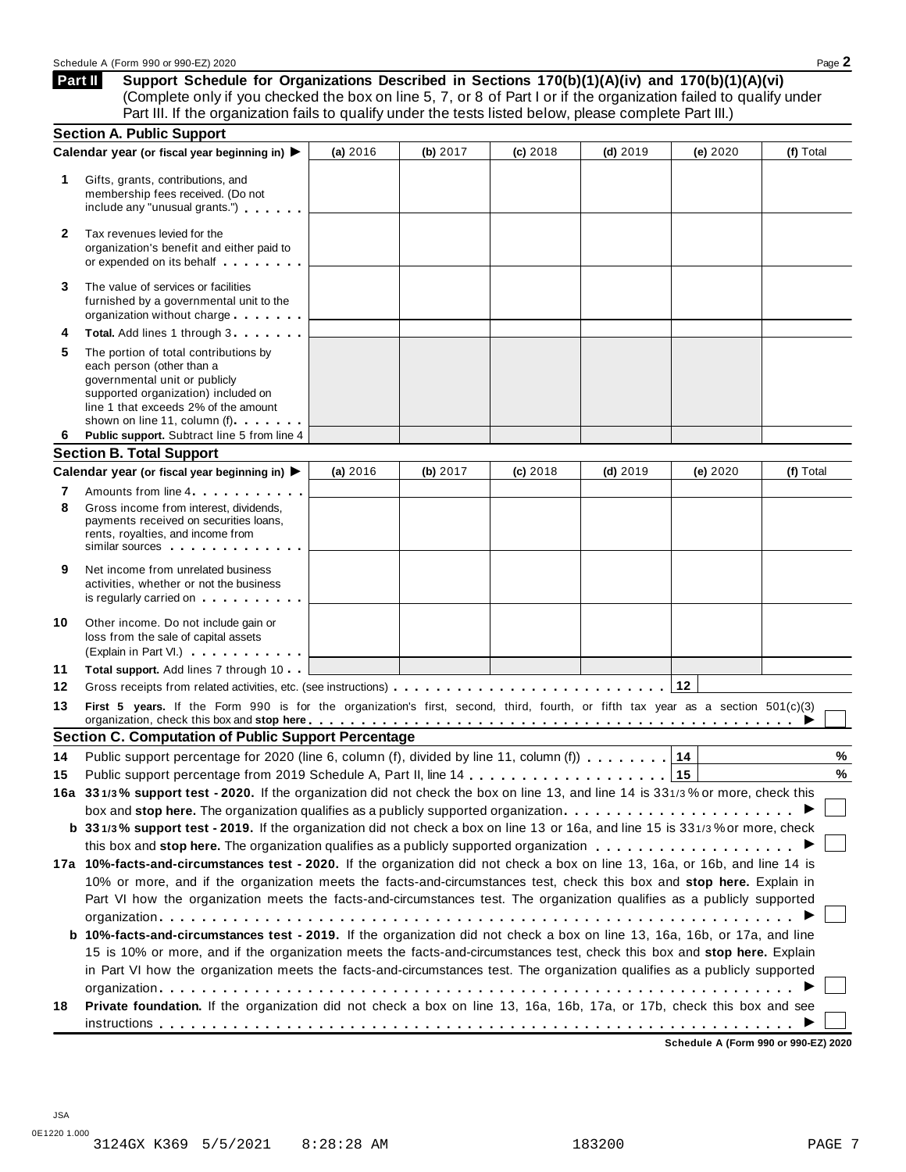**Support Schedule for Organizations Described in Sections 170(b)(1)(A)(iv) and 170(b)(1)(A)(vi)** (Complete only if you checked the box on line 5, 7, or 8 of Part I or if the organization failed to qualify under Part III. If the organization fails to qualify under the tests listed below, please complete Part III.) **Part II**

|              | <b>Section A. Public Support</b>                                                                                                                                                                                                                                                    |          |            |            |            |            |           |  |  |
|--------------|-------------------------------------------------------------------------------------------------------------------------------------------------------------------------------------------------------------------------------------------------------------------------------------|----------|------------|------------|------------|------------|-----------|--|--|
|              | Calendar year (or fiscal year beginning in) ▶                                                                                                                                                                                                                                       | (a) 2016 | (b) $2017$ | (c) 2018   | $(d)$ 2019 | (e) 2020   | (f) Total |  |  |
| 1.           | Gifts, grants, contributions, and<br>membership fees received. (Do not<br>include any "unusual grants.")                                                                                                                                                                            |          |            |            |            |            |           |  |  |
| $\mathbf{2}$ | Tax revenues levied for the<br>organization's benefit and either paid to<br>or expended on its behalf                                                                                                                                                                               |          |            |            |            |            |           |  |  |
| 3            | The value of services or facilities<br>furnished by a governmental unit to the<br>organization without charge                                                                                                                                                                       |          |            |            |            |            |           |  |  |
| 4            | Total. Add lines 1 through 3                                                                                                                                                                                                                                                        |          |            |            |            |            |           |  |  |
| 5            | The portion of total contributions by<br>each person (other than a<br>governmental unit or publicly<br>supported organization) included on<br>line 1 that exceeds 2% of the amount<br>shown on line 11, column (f)                                                                  |          |            |            |            |            |           |  |  |
| 6            | Public support. Subtract line 5 from line 4                                                                                                                                                                                                                                         |          |            |            |            |            |           |  |  |
|              | <b>Section B. Total Support</b>                                                                                                                                                                                                                                                     |          |            |            |            |            |           |  |  |
|              | Calendar year (or fiscal year beginning in)                                                                                                                                                                                                                                         | (a) 2016 | (b) 2017   | $(c)$ 2018 | $(d)$ 2019 | (e) $2020$ | (f) Total |  |  |
| 7<br>8       | Amounts from line 4<br>Gross income from interest, dividends,<br>payments received on securities loans,<br>rents, royalties, and income from<br>similar sources experiences                                                                                                         |          |            |            |            |            |           |  |  |
| 9            | Net income from unrelated business<br>activities, whether or not the business<br>is regularly carried on the control of the set of the set of the set of the set of the set of the set of the s                                                                                     |          |            |            |            |            |           |  |  |
| 10           | Other income. Do not include gain or<br>loss from the sale of capital assets<br>(Explain in Part VI.)                                                                                                                                                                               |          |            |            |            |            |           |  |  |
| 11           | Total support. Add lines 7 through 10                                                                                                                                                                                                                                               |          |            |            |            |            |           |  |  |
| 12           |                                                                                                                                                                                                                                                                                     |          |            |            |            |            |           |  |  |
| 13           | First 5 years. If the Form 990 is for the organization's first, second, third, fourth, or fifth tax year as a section 501(c)(3)<br>organization, check this box and stop here entitled as a series of the series of the series of the series of the series of $\blacktriangleright$ |          |            |            |            |            |           |  |  |
|              | <b>Section C. Computation of Public Support Percentage</b>                                                                                                                                                                                                                          |          |            |            |            |            |           |  |  |
| 14           | Public support percentage for 2020 (line 6, column (f), divided by line 11, column (f) $\ldots \ldots$                                                                                                                                                                              |          |            |            |            | 14         | %         |  |  |
| 15           |                                                                                                                                                                                                                                                                                     |          |            |            |            |            | %         |  |  |
|              | 16a 331/3% support test - 2020. If the organization did not check the box on line 13, and line 14 is 331/3% or more, check this                                                                                                                                                     |          |            |            |            |            |           |  |  |
|              | box and stop here. The organization qualifies as a publicly supported organization                                                                                                                                                                                                  |          |            |            |            |            |           |  |  |
|              | b 331/3% support test - 2019. If the organization did not check a box on line 13 or 16a, and line 15 is 331/3% or more, check                                                                                                                                                       |          |            |            |            |            |           |  |  |
|              |                                                                                                                                                                                                                                                                                     |          |            |            |            |            |           |  |  |
|              | 17a 10%-facts-and-circumstances test - 2020. If the organization did not check a box on line 13, 16a, or 16b, and line 14 is                                                                                                                                                        |          |            |            |            |            |           |  |  |
|              | 10% or more, and if the organization meets the facts-and-circumstances test, check this box and stop here. Explain in                                                                                                                                                               |          |            |            |            |            |           |  |  |
|              | Part VI how the organization meets the facts-and-circumstances test. The organization qualifies as a publicly supported                                                                                                                                                             |          |            |            |            |            |           |  |  |
|              |                                                                                                                                                                                                                                                                                     |          |            |            |            |            |           |  |  |
|              | b 10%-facts-and-circumstances test - 2019. If the organization did not check a box on line 13, 16a, 16b, or 17a, and line                                                                                                                                                           |          |            |            |            |            |           |  |  |
|              | 15 is 10% or more, and if the organization meets the facts-and-circumstances test, check this box and stop here. Explain                                                                                                                                                            |          |            |            |            |            |           |  |  |
|              | in Part VI how the organization meets the facts-and-circumstances test. The organization qualifies as a publicly supported                                                                                                                                                          |          |            |            |            |            |           |  |  |
| 18           | Private foundation. If the organization did not check a box on line 13, 16a, 16b, 17a, or 17b, check this box and see                                                                                                                                                               |          |            |            |            |            |           |  |  |
|              |                                                                                                                                                                                                                                                                                     |          |            |            |            |            |           |  |  |

**Schedule A (Form 990 or 990-EZ) 2020**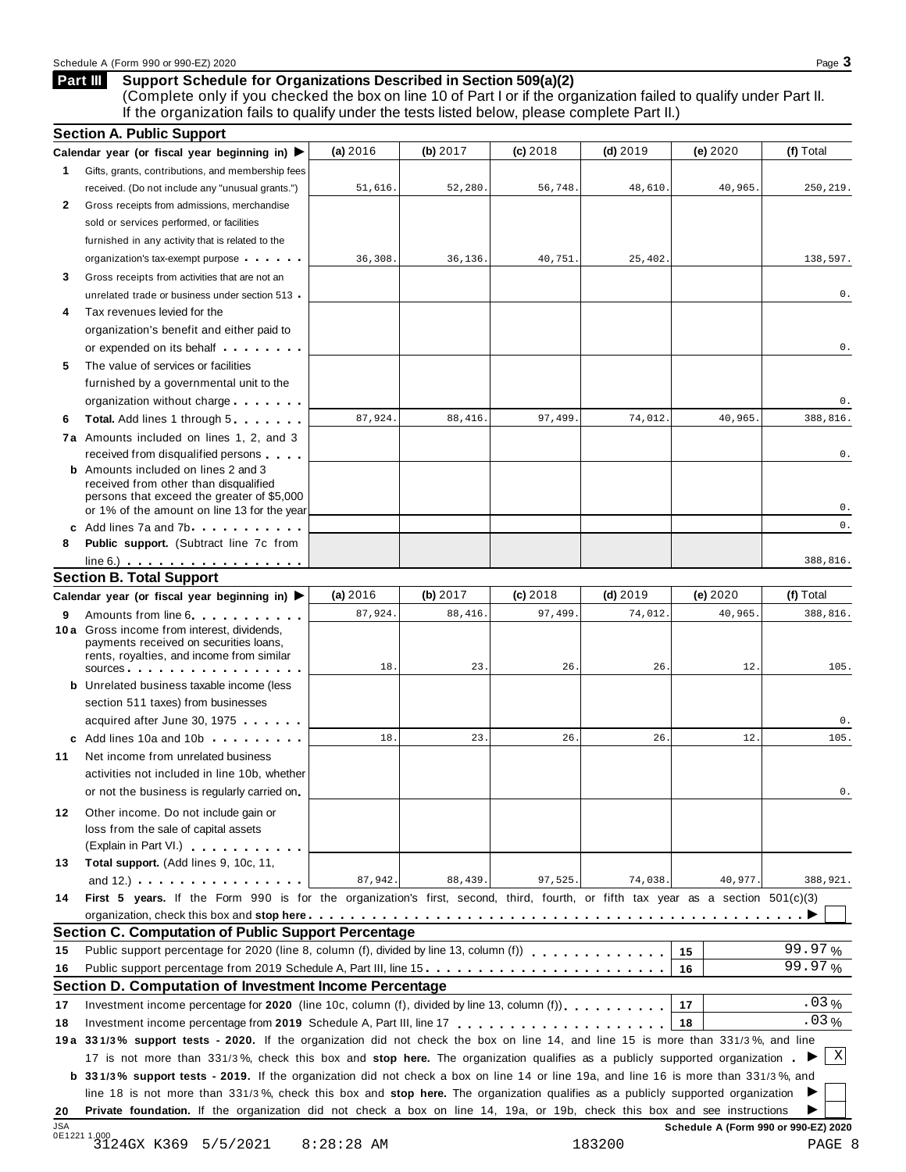#### **Support Schedule for Organizations Described in Section 509(a)(2) Part III**

(Complete only if you checked the box on line 10 of Part I or if the organization failed to qualify under Part II. If the organization fails to qualify under the tests listed below, please complete Part II.)

|           | <b>Section A. Public Support</b>                                                                                                                                                                                                     |            |          |            |            |                                      |             |
|-----------|--------------------------------------------------------------------------------------------------------------------------------------------------------------------------------------------------------------------------------------|------------|----------|------------|------------|--------------------------------------|-------------|
|           | Calendar year (or fiscal year beginning in) $\blacktriangleright$                                                                                                                                                                    | (a) 2016   | (b) 2017 | $(c)$ 2018 | $(d)$ 2019 | (e) 2020                             | (f) Total   |
| 1.        | Gifts, grants, contributions, and membership fees                                                                                                                                                                                    |            |          |            |            |                                      |             |
|           | received. (Do not include any "unusual grants.")                                                                                                                                                                                     | 51,616.    | 52,280.  | 56,748     | 48,610.    | 40,965                               | 250,219.    |
| 2         | Gross receipts from admissions, merchandise                                                                                                                                                                                          |            |          |            |            |                                      |             |
|           | sold or services performed, or facilities                                                                                                                                                                                            |            |          |            |            |                                      |             |
|           | furnished in any activity that is related to the                                                                                                                                                                                     |            |          |            |            |                                      |             |
|           | organization's tax-exempt purpose                                                                                                                                                                                                    | 36,308.    | 36,136.  | 40,751     | 25,402.    |                                      | 138,597.    |
| 3         | Gross receipts from activities that are not an                                                                                                                                                                                       |            |          |            |            |                                      |             |
|           | unrelated trade or business under section 513                                                                                                                                                                                        |            |          |            |            |                                      | 0.          |
| 4         | Tax revenues levied for the                                                                                                                                                                                                          |            |          |            |            |                                      |             |
|           | organization's benefit and either paid to                                                                                                                                                                                            |            |          |            |            |                                      |             |
|           | or expended on its behalf <b>contains the set of the set of the set of the set of the set of the set of the set of the set of the set of the set of the set of the set of the set of the set of the set of the set of the set of</b> |            |          |            |            |                                      | 0.          |
| 5         | The value of services or facilities                                                                                                                                                                                                  |            |          |            |            |                                      |             |
|           | furnished by a governmental unit to the                                                                                                                                                                                              |            |          |            |            |                                      |             |
|           | organization without charge                                                                                                                                                                                                          |            |          |            |            |                                      | 0.          |
| 6         | <b>Total.</b> Add lines 1 through 5                                                                                                                                                                                                  | 87,924.    | 88, 416. | 97,499     | 74,012     | 40,965                               | 388,816.    |
|           | 7a Amounts included on lines 1, 2, and 3                                                                                                                                                                                             |            |          |            |            |                                      |             |
|           | received from disqualified persons                                                                                                                                                                                                   |            |          |            |            |                                      | 0.          |
|           | <b>b</b> Amounts included on lines 2 and 3                                                                                                                                                                                           |            |          |            |            |                                      |             |
|           | received from other than disqualified                                                                                                                                                                                                |            |          |            |            |                                      |             |
|           | persons that exceed the greater of \$5,000                                                                                                                                                                                           |            |          |            |            |                                      | 0.          |
|           | or 1% of the amount on line 13 for the year                                                                                                                                                                                          |            |          |            |            |                                      | 0.          |
| 8         | c Add lines 7a and 7b<br>Public support. (Subtract line 7c from                                                                                                                                                                      |            |          |            |            |                                      |             |
|           |                                                                                                                                                                                                                                      |            |          |            |            |                                      | 388,816.    |
|           | $line 6.)$<br><b>Section B. Total Support</b>                                                                                                                                                                                        |            |          |            |            |                                      |             |
|           | Calendar year (or fiscal year beginning in) $\blacktriangleright$                                                                                                                                                                    | (a) $2016$ | (b) 2017 | $(c)$ 2018 | $(d)$ 2019 | (e) 2020                             | (f) Total   |
|           |                                                                                                                                                                                                                                      | 87,924.    | 88, 416. | 97,499     | 74,012.    | 40,965                               | 388,816.    |
| 9         | Amounts from line 6<br>10 a Gross income from interest, dividends,                                                                                                                                                                   |            |          |            |            |                                      |             |
|           | payments received on securities loans,                                                                                                                                                                                               |            |          |            |            |                                      |             |
|           | rents, royalties, and income from similar                                                                                                                                                                                            |            |          |            |            |                                      |             |
|           | sources                                                                                                                                                                                                                              | 18.        | 23.      | 26         | 26.        | 12.                                  | 105.        |
|           | <b>b</b> Unrelated business taxable income (less                                                                                                                                                                                     |            |          |            |            |                                      |             |
|           | section 511 taxes) from businesses                                                                                                                                                                                                   |            |          |            |            |                                      |             |
|           | acquired after June 30, 1975                                                                                                                                                                                                         |            |          |            |            |                                      | 0.          |
|           | c Add lines 10a and 10b                                                                                                                                                                                                              | 18.        | 23.      | 26         | 26         | 12.                                  | 105.        |
| 11        | Net income from unrelated business                                                                                                                                                                                                   |            |          |            |            |                                      |             |
|           | activities not included in line 10b, whether                                                                                                                                                                                         |            |          |            |            |                                      |             |
|           | or not the business is regularly carried on                                                                                                                                                                                          |            |          |            |            |                                      | 0.          |
| 12        | Other income. Do not include gain or                                                                                                                                                                                                 |            |          |            |            |                                      |             |
|           | loss from the sale of capital assets                                                                                                                                                                                                 |            |          |            |            |                                      |             |
|           | (Explain in Part VI.) <b>All Accords</b>                                                                                                                                                                                             |            |          |            |            |                                      |             |
| 13        | Total support. (Add lines 9, 10c, 11,                                                                                                                                                                                                |            |          |            |            |                                      |             |
|           | and 12.) $\cdots$ $\cdots$ $\cdots$ $\cdots$                                                                                                                                                                                         | 87,942.    | 88,439.  | 97,525.    | 74,038.    | 40,977.                              | 388,921.    |
| 14        | First 5 years. If the Form 990 is for the organization's first, second, third, fourth, or fifth tax year as a section $501(c)(3)$                                                                                                    |            |          |            |            |                                      |             |
|           |                                                                                                                                                                                                                                      |            |          |            |            |                                      |             |
|           | Section C. Computation of Public Support Percentage                                                                                                                                                                                  |            |          |            |            |                                      |             |
| 15        |                                                                                                                                                                                                                                      |            |          |            |            | 15                                   | 99.97%      |
| 16        | Public support percentage from 2019 Schedule A, Part III, line 15                                                                                                                                                                    |            |          |            |            | 16                                   | 99.97%      |
|           | Section D. Computation of Investment Income Percentage                                                                                                                                                                               |            |          |            |            |                                      |             |
| 17        | Investment income percentage for 2020 (line 10c, column (f), divided by line 13, column (f)),                                                                                                                                        |            |          |            |            | 17                                   | $.03\%$     |
| 18        |                                                                                                                                                                                                                                      |            |          |            |            | 18                                   | $.03\%$     |
|           | 19a 331/3% support tests - 2020. If the organization did not check the box on line 14, and line 15 is more than 331/3%, and line                                                                                                     |            |          |            |            |                                      |             |
|           | 17 is not more than 331/3%, check this box and stop here. The organization qualifies as a publicly supported organization.                                                                                                           |            |          |            |            |                                      | $\mathbf X$ |
|           |                                                                                                                                                                                                                                      |            |          |            |            |                                      |             |
|           |                                                                                                                                                                                                                                      |            |          |            |            |                                      |             |
|           | <b>b</b> 331/3% support tests - 2019. If the organization did not check a box on line 14 or line 19a, and line 16 is more than 331/3%, and                                                                                           |            |          |            |            |                                      |             |
|           | line 18 is not more than 331/3%, check this box and stop here. The organization qualifies as a publicly supported organization                                                                                                       |            |          |            |            |                                      | ▸           |
| 20<br>JSA | Private foundation. If the organization did not check a box on line 14, 19a, or 19b, check this box and see instructions<br>0E1221 1.000<br>3124GX K369 5/5/2021                                                                     |            |          |            |            | Schedule A (Form 990 or 990-EZ) 2020 |             |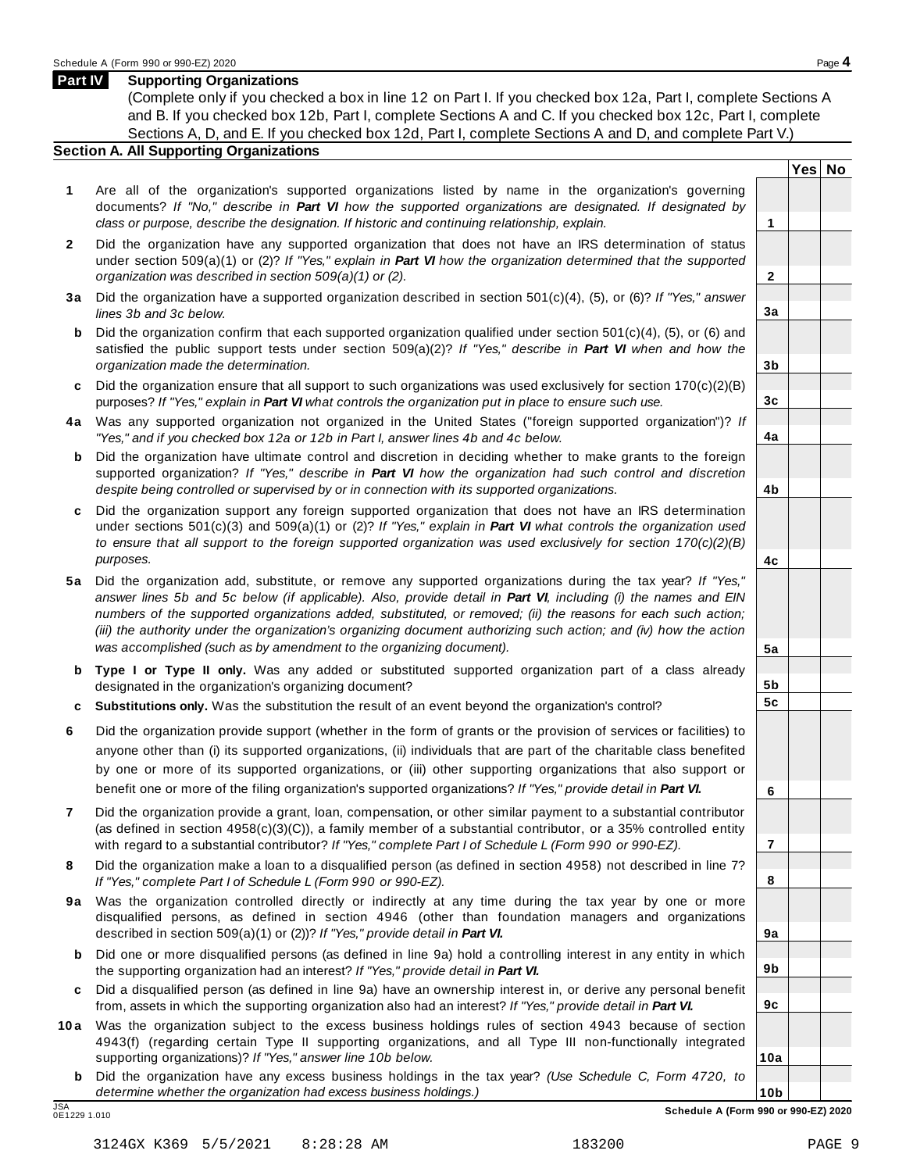# **Part IV Supporting Organizations**

(Complete only if you checked a box in line 12 on Part I. If you checked box 12a, Part I, complete Sections A and B. If you checked box 12b, Part I, complete Sections A and C. If you checked box 12c, Part I, complete Sections A, D, and E. If you checked box 12d, Part I, complete Sections A and D, and complete Part V.)

# **Section A. All Supporting Organizations**

- **1** Are all of the organization's supported organizations listed by name in the organization's governing documents? *If "No," describe in Part VI how the supported organizations are designated. If designated by class or purpose, describe the designation. If historic and continuing relationship, explain.* **1**
- **2** Did the organization have any supported organization that does not have an IRS determination of status under section 509(a)(1) or (2)? *If"Yes," explain in Part VI how the organization determined that the supported organization was described in section 509(a)(1) or (2).*
- **3 a** Did the organization have a supported organization described in section 501(c)(4), (5), or (6)? *If "Yes," answer lines 3b and 3c below.*
- **b** Did the organization confirm that each supported organization qualified under section 501(c)(4), (5), or (6) and | satisfied the public support tests under section 509(a)(2)? *If "Yes," describe in Part VI when and how the organization made the determination.*
- **c** Did the organization ensure that all support to such organizations was used exclusively for section 170(c)(2)(B) purposes? *If"Yes," explain in Part VI what controls the organization put in place to ensure such use.*
- **4 a** Was any supported organization not organized in the United States ("foreign supported organization")? *If "Yes," and if you checked box 12a or 12b in Part I, answer lines 4b and 4c below.*
- **b** Did the organization have ultimate control and discretion in deciding whether to make grants to the foreign | supported organization? *If "Yes," describe in Part VI how the organization had such control and discretion despite being controlled or supervised by or in connection with its supported organizations.*
- **c** Did the organization support any foreign supported organization that does not have an IRS determination | under sections 501(c)(3) and 509(a)(1) or (2)? *If "Yes," explain in Part VI what controls the organization used to ensure that all support to the foreign supported organization was used exclusively for section 170(c)(2)(B) purposes.*
- **5 a** Did the organization add, substitute, or remove any supported organizations during the tax year? *If "Yes,"* answer lines 5b and 5c below (if applicable). Also, provide detail in Part VI, including (i) the names and EIN *numbers of the supported organizations added, substituted, or removed; (ii) the reasons for each such action;* (iii) the authority under the organization's organizing document authorizing such action; and (iv) how the action *was accomplished (such as by amendment to the organizing document).*
- **b Type I or Type II only.** Was any added or substituted supported organization part of a class already designated in the organization's organizing document?
- **c Substitutions only.** Was the substitution the result of an event beyond the organization's control?
- **6** Did the organization provide support (whether in the form of grants or the provision of services or facilities) to anyone other than (i) its supported organizations, (ii) individuals that are part of the charitable class benefited by one or more of its supported organizations, or (iii) other supporting organizations that also support or benefit one or more of the filing organization's supported organizations? *If"Yes," provide detail in Part VI.*
- **7** Did the organization provide a grant, loan, compensation, or other similar payment to a substantial contributor (as defined in section 4958(c)(3)(C)), a family member of a substantial contributor, or a 35% controlled entity with regard to a substantial contributor? *If"Yes," complete Part I of Schedule L (Form 990 or 990-EZ).*
- **8** Did the organization make a loan to a disqualified person (as defined in section 4958) not described in line 7? *If "Yes," complete Part I of Schedule L (Form 990 or 990-EZ).*
- **9a** Was the organization controlled directly or indirectly at any time during the tax year by one or more | disqualified persons, as defined in section 4946 (other than foundation managers and organizations described in section 509(a)(1) or (2))? *If"Yes," provide detail in Part VI.*
- **b** Did one or more disqualified persons (as defined in line 9a) hold a controlling interest in any entity in which | the supporting organization had an interest? *If"Yes," provide detail in Part VI.*
- **c** Did a disqualified person (as defined in line 9a) have an ownership interest in, or derive any personal benefit from, assets in which the supporting organization also had an interest? *If"Yes," provide detail in Part VI.*
- **10a** Was the organization subject to the excess business holdings rules of section 4943 because of section | 4943(f) (regarding certain Type II supporting organizations, and all Type III non-functionally integrated supporting organizations)? *If"Yes," answer line 10b below.*
	- **b** Did the organization have any excess business holdings in the tax year? *(Use Schedule C, Form 4720, to determine whether the organization had excess business holdings.)*

0E1229 1.010

**Yes No**

**2**

**3a**

**3b**

**3c**

**4a**

**4b**

**4c**

**5a**

**5b 5c**

**6**

**7**

**8**

**9a**

**9b**

**9c**

**10a**

### 3124GX K369 5/5/2021 8:28:28 AM 183200 PAGE 9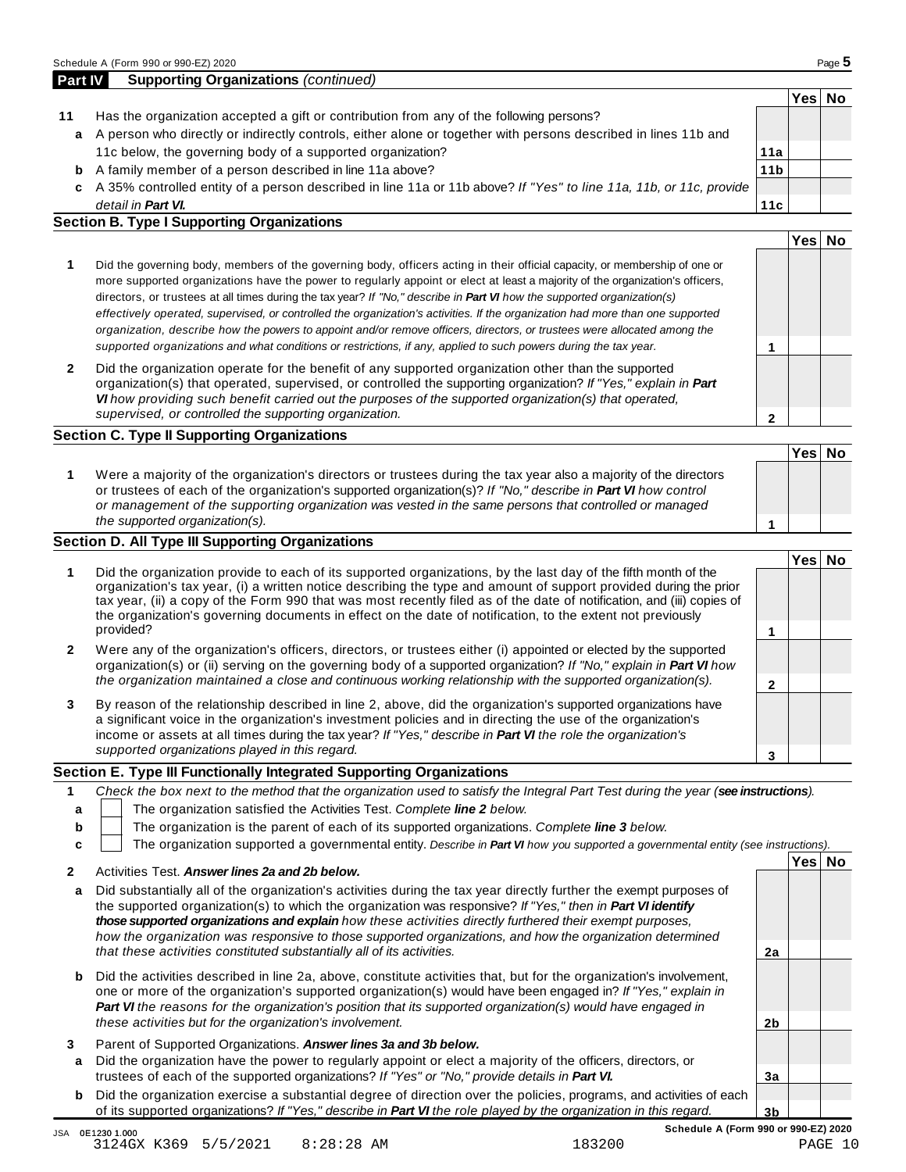|    |                                                                                                                    |                 | Yes⊺ | No |
|----|--------------------------------------------------------------------------------------------------------------------|-----------------|------|----|
| 11 | Has the organization accepted a gift or contribution from any of the following persons?                            |                 |      |    |
| a  | A person who directly or indirectly controls, either alone or together with persons described in lines 11b and     |                 |      |    |
|    | 11c below, the governing body of a supported organization?                                                         | 11a             |      |    |
| b  | A family member of a person described in line 11a above?                                                           | 11 <sub>b</sub> |      |    |
| c  | A 35% controlled entity of a person described in line 11a or 11b above? If "Yes" to line 11a, 11b, or 11c, provide |                 |      |    |
|    | detail in <b>Part VI.</b>                                                                                          | 11c             |      |    |
|    | <b>Section B. Type I Supporting Organizations</b>                                                                  |                 |      |    |
|    |                                                                                                                    |                 | Yes. |    |

| 1            | Did the governing body, members of the governing body, officers acting in their official capacity, or membership of one or<br>more supported organizations have the power to regularly appoint or elect at least a majority of the organization's officers,<br>directors, or trustees at all times during the tax year? If "No," describe in Part VI how the supported organization(s)<br>effectively operated, supervised, or controlled the organization's activities. If the organization had more than one supported<br>organization, describe how the powers to appoint and/or remove officers, directors, or trustees were allocated among the |  |  |
|--------------|------------------------------------------------------------------------------------------------------------------------------------------------------------------------------------------------------------------------------------------------------------------------------------------------------------------------------------------------------------------------------------------------------------------------------------------------------------------------------------------------------------------------------------------------------------------------------------------------------------------------------------------------------|--|--|
|              | supported organizations and what conditions or restrictions, if any, applied to such powers during the tax year.                                                                                                                                                                                                                                                                                                                                                                                                                                                                                                                                     |  |  |
| $\mathbf{2}$ | Did the organization operate for the benefit of any supported organization other than the supported                                                                                                                                                                                                                                                                                                                                                                                                                                                                                                                                                  |  |  |

organization(s) that operated, supervised, or controlled the supporting organization? *If "Yes," explain in Part VI how providing such benefit carried out the purposes of the supported organization(s) that operated, supervised, or controlled the supporting organization.*

### **Section C. Type II Supporting Organizations**

**1 Yes No 1** Were a majority of the organization's directors or trustees during the tax year also a majority of the directors or trustees of each of the organization's supported organization(s)? *If"No," describe in Part VI how control or management of the supporting organization was vested in the same persons that controlled or managed the supported organization(s).*

# **Section D. All Type III Supporting Organizations**

|              |                                                                                                                                                                                                                                                                                                                                                                                                                                                                             |  | Yes⊺ |  |
|--------------|-----------------------------------------------------------------------------------------------------------------------------------------------------------------------------------------------------------------------------------------------------------------------------------------------------------------------------------------------------------------------------------------------------------------------------------------------------------------------------|--|------|--|
|              | Did the organization provide to each of its supported organizations, by the last day of the fifth month of the<br>organization's tax year, (i) a written notice describing the type and amount of support provided during the prior<br>tax year, (ii) a copy of the Form 990 that was most recently filed as of the date of notification, and (iii) copies of<br>the organization's governing documents in effect on the date of notification, to the extent not previously |  |      |  |
|              | provided?                                                                                                                                                                                                                                                                                                                                                                                                                                                                   |  |      |  |
| $\mathbf{2}$ | Were any of the organization's officers, directors, or trustees either (i) appointed or elected by the supported<br>organization(s) or (ii) serving on the governing body of a supported organization? If "No," explain in <b>Part VI</b> how                                                                                                                                                                                                                               |  |      |  |
|              | the organization maintained a close and continuous working relationship with the supported organization(s).                                                                                                                                                                                                                                                                                                                                                                 |  |      |  |
| 3            | By reason of the relationship described in line 2, above, did the organization's supported organizations have<br>a significant voice in the organization's investment policies and in directing the use of the organization's<br>income or assets at all times during the tax year? If "Yes," describe in Part VI the role the organization's                                                                                                                               |  |      |  |
|              | supported organizations played in this regard.                                                                                                                                                                                                                                                                                                                                                                                                                              |  |      |  |

# **Section E. Type III Functionally Integrated Supporting Organizations**

|                                                | Check the box next to the method that the organization used to satisfy the Integral Part Test during the year (see instructions). |  |  |        |  |  |
|------------------------------------------------|-----------------------------------------------------------------------------------------------------------------------------------|--|--|--------|--|--|
|                                                | The organization satisfied the Activities Test. Complete line 2 below.                                                            |  |  |        |  |  |
| b                                              | The organization is the parent of each of its supported organizations. Complete line 3 below.                                     |  |  |        |  |  |
|                                                | The organization supported a governmental entity. Describe in Part VI how you supported a governmental entity (see instructions). |  |  |        |  |  |
| Activities Test. Answer lines 2a and 2b below. |                                                                                                                                   |  |  | Yes No |  |  |
|                                                |                                                                                                                                   |  |  |        |  |  |

| a      | Did substantially all of the organization's activities during the tax year directly further the exempt purposes of<br>the supported organization(s) to which the organization was responsive? If "Yes," then in Part VI identify<br>those supported organizations and explain how these activities directly furthered their exempt purposes,<br>how the organization was responsive to those supported organizations, and how the organization determined<br>that these activities constituted substantially all of its activities. | 2a |  |
|--------|-------------------------------------------------------------------------------------------------------------------------------------------------------------------------------------------------------------------------------------------------------------------------------------------------------------------------------------------------------------------------------------------------------------------------------------------------------------------------------------------------------------------------------------|----|--|
|        | <b>b</b> Did the activities described in line 2a, above, constitute activities that, but for the organization's involvement,<br>one or more of the organization's supported organization(s) would have been engaged in? If "Yes," explain in<br><b>Part VI</b> the reasons for the organization's position that its supported organization(s) would have engaged in<br>these activities but for the organization's involvement.                                                                                                     | 2b |  |
| 3<br>a | Parent of Supported Organizations. Answer lines 3a and 3b below.<br>Did the organization have the power to regularly appoint or elect a majority of the officers, directors, or<br>trustees of each of the supported organizations? If "Yes" or "No," provide details in Part VI.                                                                                                                                                                                                                                                   | 3a |  |
|        | <b>b</b> Did the organization exercise a substantial degree of direction over the policies, programs, and activities of each<br>of its supported organizations? If "Yes," describe in Part VI the role played by the organization in this regard.                                                                                                                                                                                                                                                                                   | 3b |  |

**2**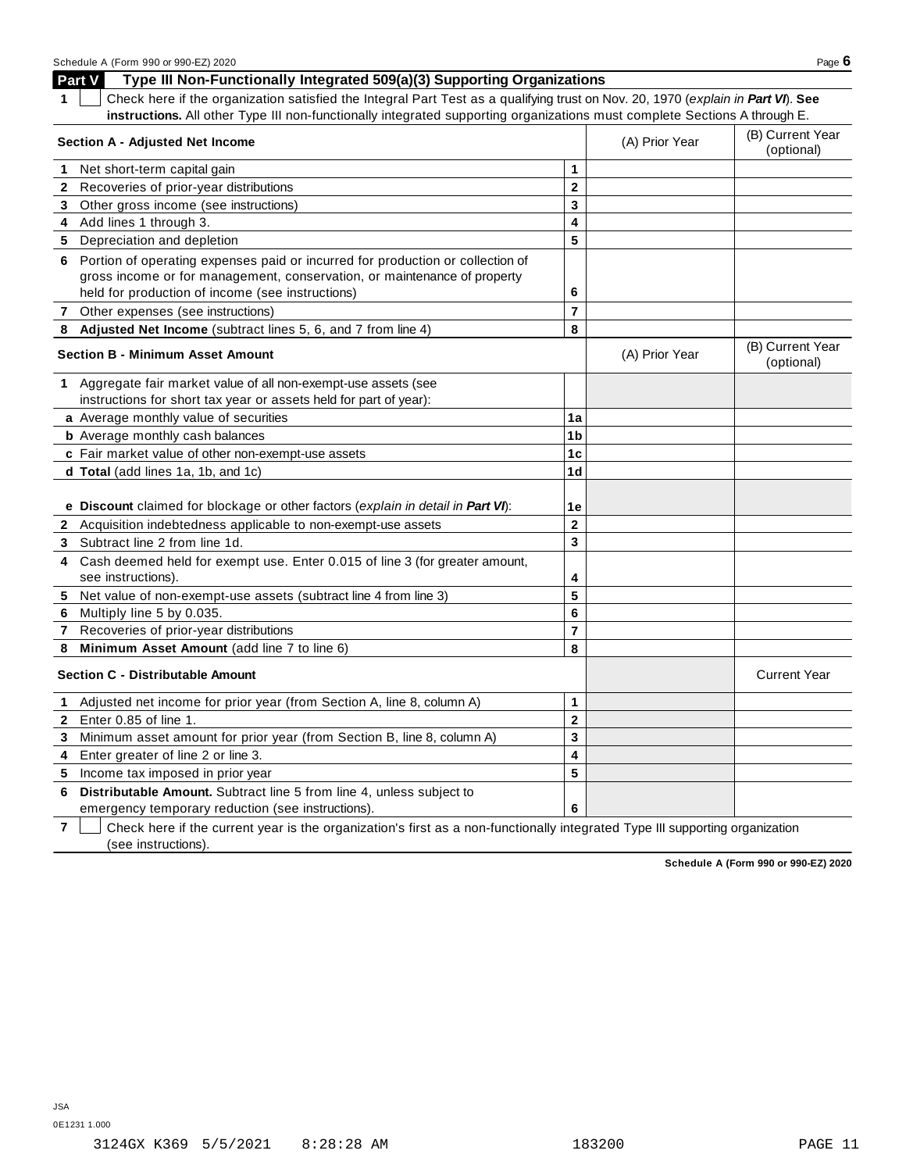# **Part V Type III Non-Functionally Integrated 509(a)(3) Supporting Organizations 1** Check here if the organization satisfied the Integral Part Test as a qualifying trust on Nov. 20, 1970 (*explain in Part VI*). **See instructions.** All other Type III non-functionally integrated supporting organizations must complete Sections A through E.

|              | Section A - Adjusted Net Income                                                  |                | (A) Prior Year | (B) Current Year<br>(optional) |
|--------------|----------------------------------------------------------------------------------|----------------|----------------|--------------------------------|
| 1.           | Net short-term capital gain                                                      | $\mathbf{1}$   |                |                                |
| $\mathbf{2}$ | Recoveries of prior-year distributions                                           | $\mathbf 2$    |                |                                |
| 3            | Other gross income (see instructions)                                            | 3              |                |                                |
| 4            | Add lines 1 through 3.                                                           | 4              |                |                                |
|              | 5 Depreciation and depletion                                                     | 5              |                |                                |
|              | 6 Portion of operating expenses paid or incurred for production or collection of |                |                |                                |
|              | gross income or for management, conservation, or maintenance of property         |                |                |                                |
|              | held for production of income (see instructions)                                 | 6              |                |                                |
| 7            | Other expenses (see instructions)                                                | $\overline{7}$ |                |                                |
| 8            | Adjusted Net Income (subtract lines 5, 6, and 7 from line 4)                     | 8              |                |                                |
|              | <b>Section B - Minimum Asset Amount</b>                                          |                | (A) Prior Year | (B) Current Year<br>(optional) |
| $\mathbf 1$  | Aggregate fair market value of all non-exempt-use assets (see                    |                |                |                                |
|              | instructions for short tax year or assets held for part of year):                |                |                |                                |
|              | a Average monthly value of securities                                            | 1a             |                |                                |
|              | <b>b</b> Average monthly cash balances                                           | 1 <sub>b</sub> |                |                                |
|              | c Fair market value of other non-exempt-use assets                               | 1 <sub>c</sub> |                |                                |
|              | d Total (add lines 1a, 1b, and 1c)                                               | 1 <sub>d</sub> |                |                                |
|              |                                                                                  |                |                |                                |
|              | e Discount claimed for blockage or other factors (explain in detail in Part VI): | 1e             |                |                                |
|              | 2 Acquisition indebtedness applicable to non-exempt-use assets                   | $\mathbf{2}$   |                |                                |
|              | 3 Subtract line 2 from line 1d.                                                  | 3              |                |                                |
| 4            | Cash deemed held for exempt use. Enter 0.015 of line 3 (for greater amount,      |                |                |                                |
|              | see instructions).                                                               | 4              |                |                                |
|              | 5 Net value of non-exempt-use assets (subtract line 4 from line 3)               | 5              |                |                                |
| 6            | Multiply line 5 by 0.035.                                                        | $6\phantom{1}$ |                |                                |
| $\mathbf{7}$ | Recoveries of prior-year distributions                                           | $\overline{7}$ |                |                                |
| 8            | Minimum Asset Amount (add line 7 to line 6)                                      | 8              |                |                                |
|              | <b>Section C - Distributable Amount</b>                                          |                |                | <b>Current Year</b>            |
| $\mathbf 1$  | Adjusted net income for prior year (from Section A, line 8, column A)            | $\mathbf{1}$   |                |                                |
| $\mathbf{2}$ | Enter 0.85 of line 1.                                                            | $\mathbf 2$    |                |                                |
| 3            | Minimum asset amount for prior year (from Section B, line 8, column A)           | 3              |                |                                |
| 4            | Enter greater of line 2 or line 3.                                               | 4              |                |                                |
|              | 5 Income tax imposed in prior year                                               | 5              |                |                                |
| 6            | Distributable Amount. Subtract line 5 from line 4, unless subject to             |                |                |                                |
|              | emergency temporary reduction (see instructions).                                | 6              |                |                                |

**7** Check here if the current year is the organization's first as a non-functionally integrated Type III supporting organization (see instructions).

**Schedule A (Form 990 or 990-EZ) 2020**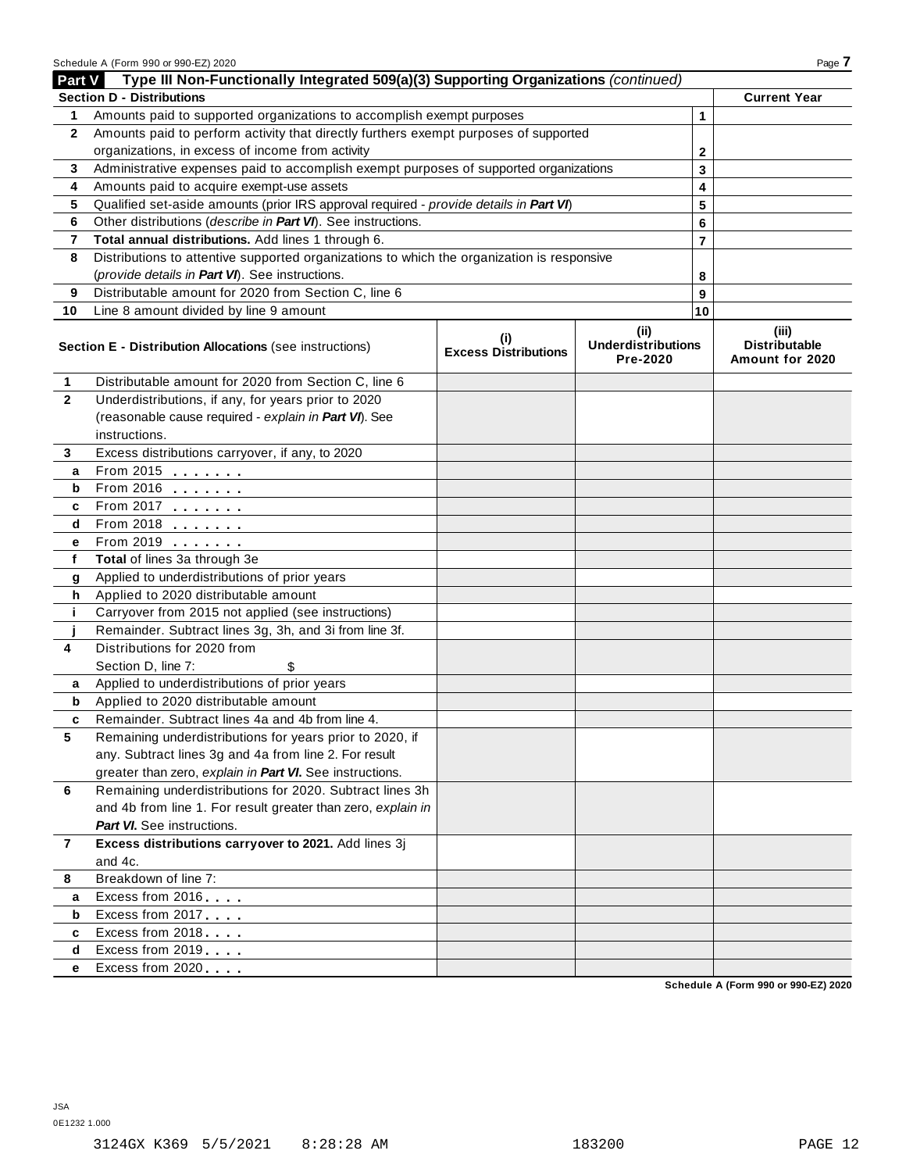|                                                         | Schedule A (Form 990 or 990-EZ) 2020                                                       |                                    |                                       |                | Page 7                                  |  |  |  |
|---------------------------------------------------------|--------------------------------------------------------------------------------------------|------------------------------------|---------------------------------------|----------------|-----------------------------------------|--|--|--|
| Part V                                                  | Type III Non-Functionally Integrated 509(a)(3) Supporting Organizations (continued)        |                                    |                                       |                |                                         |  |  |  |
| <b>Section D - Distributions</b><br><b>Current Year</b> |                                                                                            |                                    |                                       |                |                                         |  |  |  |
| 1                                                       | Amounts paid to supported organizations to accomplish exempt purposes                      |                                    |                                       | 1              |                                         |  |  |  |
| $\mathbf{2}$                                            | Amounts paid to perform activity that directly furthers exempt purposes of supported       |                                    |                                       |                |                                         |  |  |  |
|                                                         | organizations, in excess of income from activity                                           |                                    |                                       | $\mathbf{2}$   |                                         |  |  |  |
| 3                                                       | Administrative expenses paid to accomplish exempt purposes of supported organizations      | 3                                  |                                       |                |                                         |  |  |  |
| 4                                                       | Amounts paid to acquire exempt-use assets                                                  | 4                                  |                                       |                |                                         |  |  |  |
| 5                                                       | Qualified set-aside amounts (prior IRS approval required - provide details in Part VI)     |                                    |                                       | 5              |                                         |  |  |  |
| 6                                                       | Other distributions (describe in Part VI). See instructions.                               |                                    |                                       | 6              |                                         |  |  |  |
| 7                                                       | Total annual distributions. Add lines 1 through 6.                                         |                                    |                                       | $\overline{7}$ |                                         |  |  |  |
| 8                                                       | Distributions to attentive supported organizations to which the organization is responsive |                                    |                                       |                |                                         |  |  |  |
|                                                         | (provide details in Part VI). See instructions.                                            |                                    |                                       | 8              |                                         |  |  |  |
| 9                                                       | Distributable amount for 2020 from Section C, line 6                                       |                                    |                                       | 9              |                                         |  |  |  |
| 10                                                      | Line 8 amount divided by line 9 amount                                                     |                                    |                                       | 10             |                                         |  |  |  |
|                                                         |                                                                                            |                                    | (ii)                                  |                | (iii)                                   |  |  |  |
|                                                         | Section E - Distribution Allocations (see instructions)                                    | (i)<br><b>Excess Distributions</b> | <b>Underdistributions</b><br>Pre-2020 |                | <b>Distributable</b><br>Amount for 2020 |  |  |  |
| 1                                                       | Distributable amount for 2020 from Section C, line 6                                       |                                    |                                       |                |                                         |  |  |  |
| $\mathbf{2}$                                            | Underdistributions, if any, for years prior to 2020                                        |                                    |                                       |                |                                         |  |  |  |
|                                                         | (reasonable cause required - explain in Part VI). See                                      |                                    |                                       |                |                                         |  |  |  |
|                                                         | instructions.                                                                              |                                    |                                       |                |                                         |  |  |  |
| 3                                                       | Excess distributions carryover, if any, to 2020                                            |                                    |                                       |                |                                         |  |  |  |
| a                                                       | From 2015 $\frac{1}{2}$                                                                    |                                    |                                       |                |                                         |  |  |  |
| b                                                       | From 2016 <b>Figure 1.1</b>                                                                |                                    |                                       |                |                                         |  |  |  |
| c                                                       | From 2017 <b>Figure 1.1 (19)</b>                                                           |                                    |                                       |                |                                         |  |  |  |
| d                                                       | $From 2018$                                                                                |                                    |                                       |                |                                         |  |  |  |
| е                                                       | From 2019                                                                                  |                                    |                                       |                |                                         |  |  |  |
| f                                                       | Total of lines 3a through 3e                                                               |                                    |                                       |                |                                         |  |  |  |
| g                                                       | Applied to underdistributions of prior years                                               |                                    |                                       |                |                                         |  |  |  |
| h                                                       | Applied to 2020 distributable amount                                                       |                                    |                                       |                |                                         |  |  |  |
| j.                                                      | Carryover from 2015 not applied (see instructions)                                         |                                    |                                       |                |                                         |  |  |  |
|                                                         | Remainder. Subtract lines 3g, 3h, and 3i from line 3f.                                     |                                    |                                       |                |                                         |  |  |  |
| 4                                                       | Distributions for 2020 from                                                                |                                    |                                       |                |                                         |  |  |  |
|                                                         | Section D, line 7:<br>\$                                                                   |                                    |                                       |                |                                         |  |  |  |
| a                                                       | Applied to underdistributions of prior years                                               |                                    |                                       |                |                                         |  |  |  |
| b                                                       | Applied to 2020 distributable amount                                                       |                                    |                                       |                |                                         |  |  |  |
| c                                                       | Remainder. Subtract lines 4a and 4b from line 4                                            |                                    |                                       |                |                                         |  |  |  |
| 5                                                       | Remaining underdistributions for years prior to 2020, if                                   |                                    |                                       |                |                                         |  |  |  |
|                                                         | any. Subtract lines 3g and 4a from line 2. For result                                      |                                    |                                       |                |                                         |  |  |  |
|                                                         | greater than zero, explain in Part VI. See instructions.                                   |                                    |                                       |                |                                         |  |  |  |
| 6                                                       | Remaining underdistributions for 2020. Subtract lines 3h                                   |                                    |                                       |                |                                         |  |  |  |
|                                                         | and 4b from line 1. For result greater than zero, explain in                               |                                    |                                       |                |                                         |  |  |  |
|                                                         | Part VI. See instructions.                                                                 |                                    |                                       |                |                                         |  |  |  |
| $\overline{7}$                                          | Excess distributions carryover to 2021. Add lines 3j                                       |                                    |                                       |                |                                         |  |  |  |
|                                                         | and 4c.                                                                                    |                                    |                                       |                |                                         |  |  |  |
| 8                                                       | Breakdown of line 7:                                                                       |                                    |                                       |                |                                         |  |  |  |
| a                                                       | Excess from 2016                                                                           |                                    |                                       |                |                                         |  |  |  |
| b                                                       | Excess from 2017                                                                           |                                    |                                       |                |                                         |  |  |  |
| c                                                       | Excess from 2018                                                                           |                                    |                                       |                |                                         |  |  |  |
| d                                                       | Excess from 2019                                                                           |                                    |                                       |                |                                         |  |  |  |
| e                                                       | Excess from 2020                                                                           |                                    |                                       |                |                                         |  |  |  |

**Schedule A (Form 990 or 990-EZ) 2020**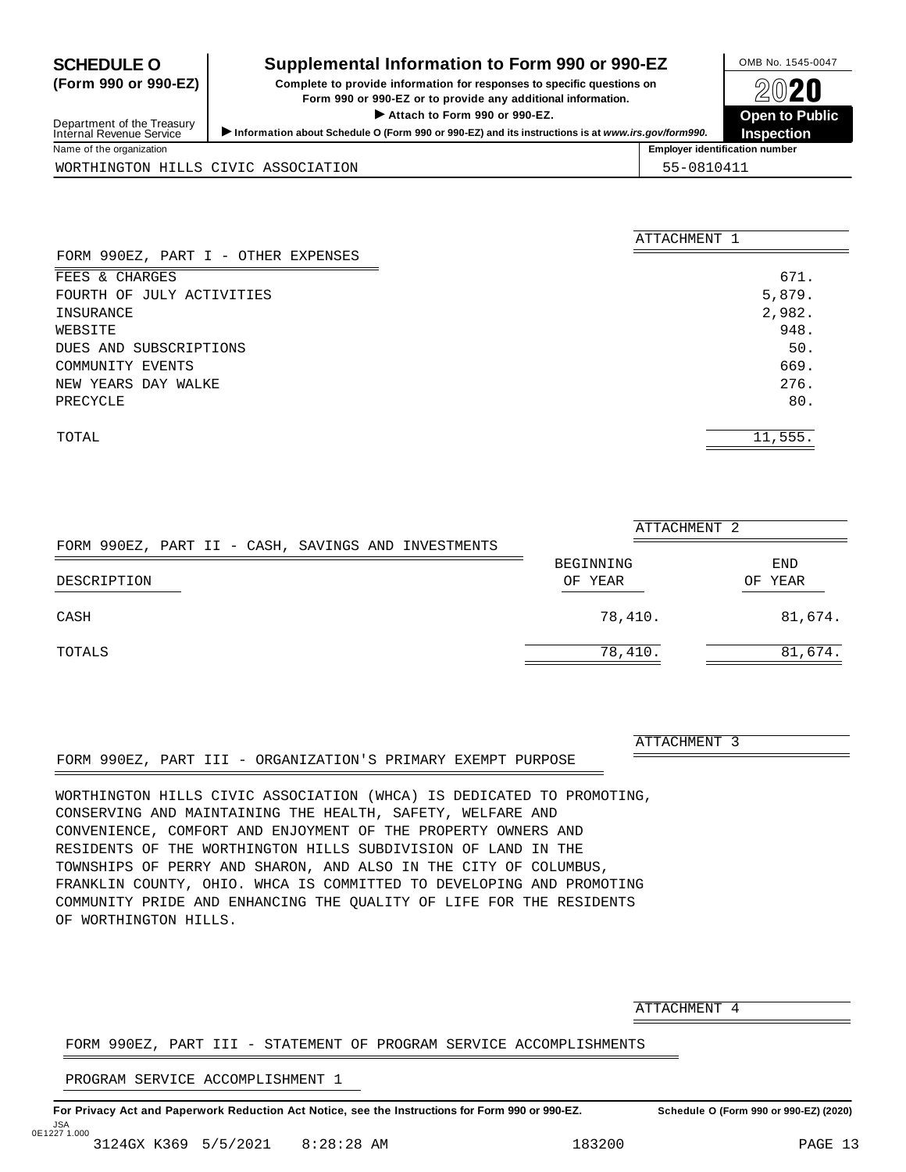# <span id="page-11-0"></span>**SCHEDULE O** Supplemental Information to Form 990 or 990-EZ DAMB No. 1545-0047

(Form 990 or 990-EZ) Complete to provide information for responses to specific questions on  $2020$ Form 990 or 990-EZ or to provide any additional information.<br>
Attach to Form 990 or 990-EZ.<br>
Open to Public

**Inspection** Department of the Treasury<br>Internal Revenue Service Internal Revenue Service<br>Internal Revenue Service<br>Name of the organization<br>Name of the organization WORTHINGTON HILLS CIVIC ASSOCIATION 55-0810411

|                                     | ATTACHMENT 1 |
|-------------------------------------|--------------|
| FORM 990EZ, PART I - OTHER EXPENSES |              |
| FEES & CHARGES                      | 671.         |
| FOURTH OF JULY ACTIVITIES           | 5,879.       |
| INSURANCE                           | 2,982.       |
| WEBSITE                             | 948.         |
| DUES AND SUBSCRIPTIONS              | 50.          |
| COMMUNITY EVENTS                    | 669.         |
| NEW YEARS DAY WALKE                 | 276.         |
| PRECYCLE                            | 80.          |
| TOTAL                               | 11,555.      |

|                                                     | ATTACHMENT <sub>2</sub> |            |
|-----------------------------------------------------|-------------------------|------------|
| FORM 990EZ, PART II - CASH, SAVINGS AND INVESTMENTS |                         |            |
|                                                     | BEGINNING               | <b>END</b> |
| DESCRIPTION                                         | OF YEAR                 | YEAR<br>OF |
| CASH                                                | 78,410.                 | 81,674.    |
| TOTALS                                              | 78,410.                 | 81,674.    |

FORM 990EZ, PART III - ORGANIZATION'S PRIMARY EXEMPT PURPOSE

WORTHINGTON HILLS CIVIC ASSOCIATION (WHCA) IS DEDICATED TO PROMOTING, CONSERVING AND MAINTAINING THE HEALTH, SAFETY, WELFARE AND CONVENIENCE, COMFORT AND ENJOYMENT OF THE PROPERTY OWNERS AND RESIDENTS OF THE WORTHINGTON HILLS SUBDIVISION OF LAND IN THE TOWNSHIPS OF PERRY AND SHARON, AND ALSO IN THE CITY OF COLUMBUS, FRANKLIN COUNTY, OHIO. WHCA IS COMMITTED TO DEVELOPING AND PROMOTING COMMUNITY PRIDE AND ENHANCING THE QUALITY OF LIFE FOR THE RESIDENTS OF WORTHINGTON HILLS.

ATTACHMENT 4

ATTACHMENT 3

FORM 990EZ, PART III - STATEMENT OF PROGRAM SERVICE ACCOMPLISHMENTS

PROGRAM SERVICE ACCOMPLISHMENT 1